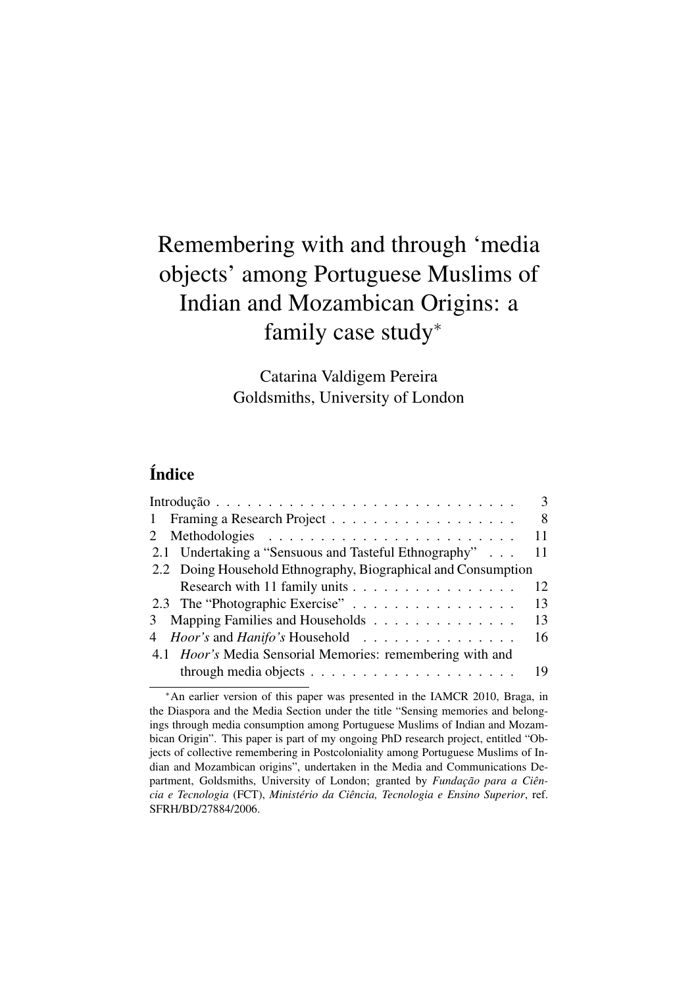# Remembering with and through 'media objects' among Portuguese Muslims of Indian and Mozambican Origins: a family case study<sup>∗</sup>

Catarina Valdigem Pereira Goldsmiths, University of London

# Índice

|                                                                   | 3  |
|-------------------------------------------------------------------|----|
|                                                                   | 8  |
|                                                                   | 11 |
| 2.1 Undertaking a "Sensuous and Tasteful Ethnography"             | 11 |
| 2.2 Doing Household Ethnography, Biographical and Consumption     |    |
| Research with 11 family units                                     | 12 |
| 2.3 The "Photographic Exercise"                                   | 13 |
| 3 Mapping Families and Households                                 | 13 |
| 4 <i>Hoor's</i> and <i>Hanifo's</i> Household                     | 16 |
| 4.1 <i>Hoor's</i> Media Sensorial Memories: remembering with and  |    |
| through media objects $\dots \dots \dots \dots \dots \dots \dots$ | 19 |

<sup>∗</sup>An earlier version of this paper was presented in the IAMCR 2010, Braga, in the Diaspora and the Media Section under the title "Sensing memories and belongings through media consumption among Portuguese Muslims of Indian and Mozambican Origin". This paper is part of my ongoing PhD research project, entitled "Objects of collective remembering in Postcoloniality among Portuguese Muslims of Indian and Mozambican origins", undertaken in the Media and Communications Department, Goldsmiths, University of London; granted by *Fundação para a Ciência e Tecnologia* (FCT), *Ministério da Ciência, Tecnologia e Ensino Superior*, ref. SFRH/BD/27884/2006.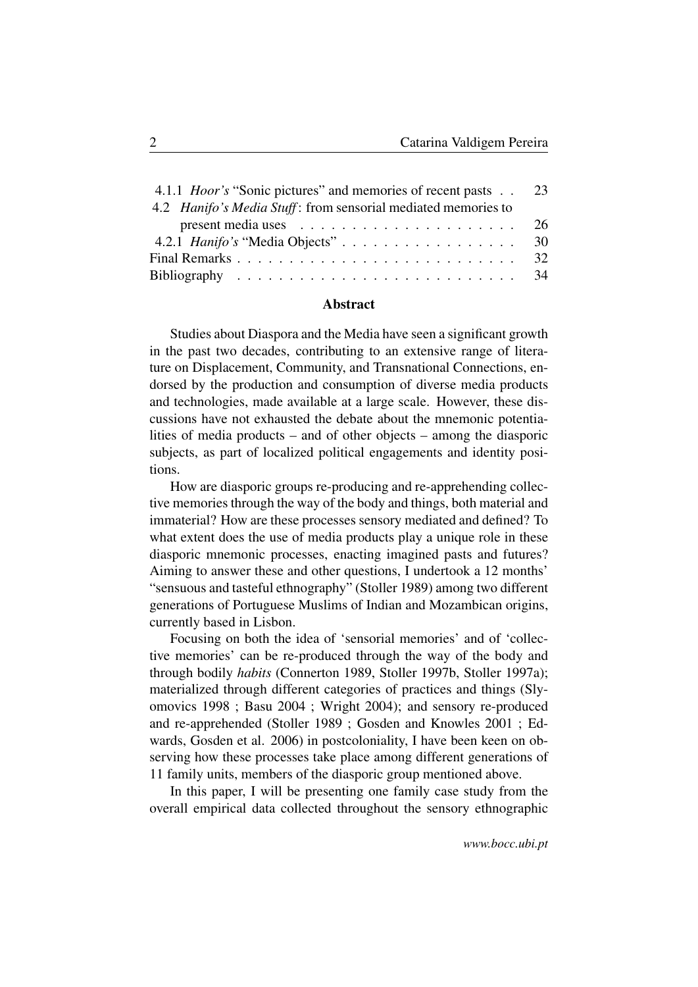| 4.1.1 <i>Hoor's</i> "Sonic pictures" and memories of recent pasts 23            |  |
|---------------------------------------------------------------------------------|--|
| 4.2 <i>Hanifo's Media Stuff</i> : from sensorial mediated memories to           |  |
| present media uses $\ldots \ldots \ldots \ldots \ldots \ldots \ldots \ldots 26$ |  |
| 4.2.1 <i>Hanifo's</i> "Media Objects" 30                                        |  |
|                                                                                 |  |
|                                                                                 |  |

#### Abstract

Studies about Diaspora and the Media have seen a significant growth in the past two decades, contributing to an extensive range of literature on Displacement, Community, and Transnational Connections, endorsed by the production and consumption of diverse media products and technologies, made available at a large scale. However, these discussions have not exhausted the debate about the mnemonic potentialities of media products – and of other objects – among the diasporic subjects, as part of localized political engagements and identity positions.

How are diasporic groups re-producing and re-apprehending collective memories through the way of the body and things, both material and immaterial? How are these processes sensory mediated and defined? To what extent does the use of media products play a unique role in these diasporic mnemonic processes, enacting imagined pasts and futures? Aiming to answer these and other questions, I undertook a 12 months' "sensuous and tasteful ethnography" (Stoller 1989) among two different generations of Portuguese Muslims of Indian and Mozambican origins, currently based in Lisbon.

Focusing on both the idea of 'sensorial memories' and of 'collective memories' can be re-produced through the way of the body and through bodily *habits* (Connerton 1989, Stoller 1997b, Stoller 1997a); materialized through different categories of practices and things (Slyomovics 1998 ; Basu 2004 ; Wright 2004); and sensory re-produced and re-apprehended (Stoller 1989 ; Gosden and Knowles 2001 ; Edwards, Gosden et al. 2006) in postcoloniality, I have been keen on observing how these processes take place among different generations of 11 family units, members of the diasporic group mentioned above.

In this paper, I will be presenting one family case study from the overall empirical data collected throughout the sensory ethnographic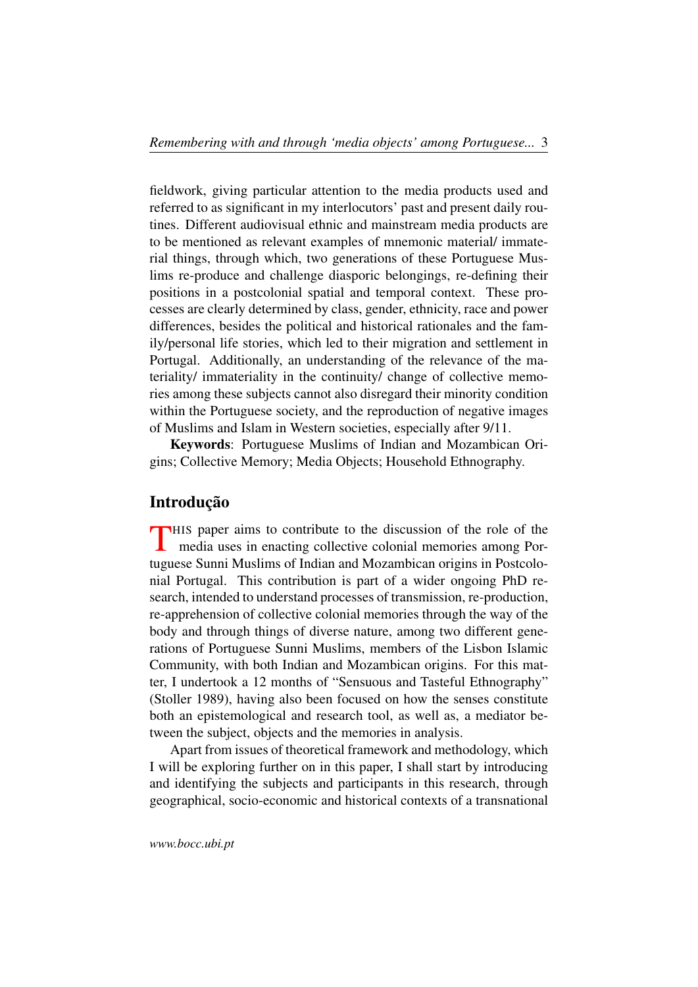fieldwork, giving particular attention to the media products used and referred to as significant in my interlocutors' past and present daily routines. Different audiovisual ethnic and mainstream media products are to be mentioned as relevant examples of mnemonic material/ immaterial things, through which, two generations of these Portuguese Muslims re-produce and challenge diasporic belongings, re-defining their positions in a postcolonial spatial and temporal context. These processes are clearly determined by class, gender, ethnicity, race and power differences, besides the political and historical rationales and the family/personal life stories, which led to their migration and settlement in Portugal. Additionally, an understanding of the relevance of the materiality/ immateriality in the continuity/ change of collective memories among these subjects cannot also disregard their minority condition within the Portuguese society, and the reproduction of negative images of Muslims and Islam in Western societies, especially after 9/11.

Keywords: Portuguese Muslims of Indian and Mozambican Origins; Collective Memory; Media Objects; Household Ethnography.

#### Introdução

<span id="page-2-0"></span>THIS paper aims to contribute to the discussion of the role of the media uses in enacting collective colonial memories among Pormedia uses in enacting collective colonial memories among Portuguese Sunni Muslims of Indian and Mozambican origins in Postcolonial Portugal. This contribution is part of a wider ongoing PhD research, intended to understand processes of transmission, re-production, re-apprehension of collective colonial memories through the way of the body and through things of diverse nature, among two different generations of Portuguese Sunni Muslims, members of the Lisbon Islamic Community, with both Indian and Mozambican origins. For this matter, I undertook a 12 months of "Sensuous and Tasteful Ethnography" (Stoller 1989), having also been focused on how the senses constitute both an epistemological and research tool, as well as, a mediator between the subject, objects and the memories in analysis.

Apart from issues of theoretical framework and methodology, which I will be exploring further on in this paper, I shall start by introducing and identifying the subjects and participants in this research, through geographical, socio-economic and historical contexts of a transnational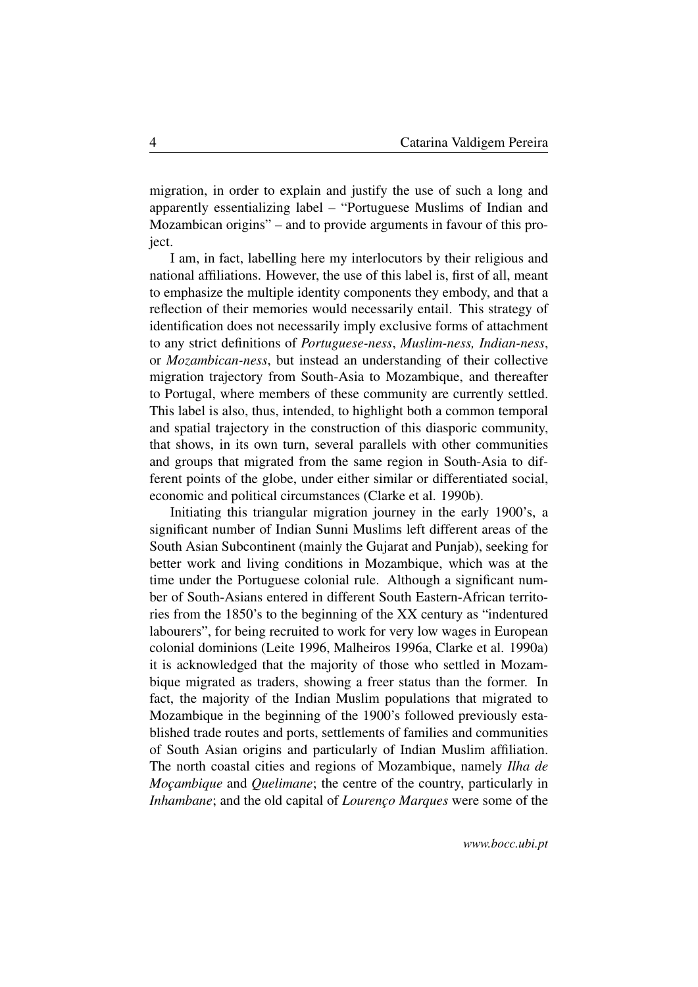migration, in order to explain and justify the use of such a long and apparently essentializing label – "Portuguese Muslims of Indian and Mozambican origins" – and to provide arguments in favour of this project.

I am, in fact, labelling here my interlocutors by their religious and national affiliations. However, the use of this label is, first of all, meant to emphasize the multiple identity components they embody, and that a reflection of their memories would necessarily entail. This strategy of identification does not necessarily imply exclusive forms of attachment to any strict definitions of *Portuguese-ness*, *Muslim-ness, Indian-ness*, or *Mozambican-ness*, but instead an understanding of their collective migration trajectory from South-Asia to Mozambique, and thereafter to Portugal, where members of these community are currently settled. This label is also, thus, intended, to highlight both a common temporal and spatial trajectory in the construction of this diasporic community, that shows, in its own turn, several parallels with other communities and groups that migrated from the same region in South-Asia to different points of the globe, under either similar or differentiated social, economic and political circumstances (Clarke et al. 1990b).

Initiating this triangular migration journey in the early 1900's, a significant number of Indian Sunni Muslims left different areas of the South Asian Subcontinent (mainly the Gujarat and Punjab), seeking for better work and living conditions in Mozambique, which was at the time under the Portuguese colonial rule. Although a significant number of South-Asians entered in different South Eastern-African territories from the 1850's to the beginning of the XX century as "indentured labourers", for being recruited to work for very low wages in European colonial dominions (Leite 1996, Malheiros 1996a, Clarke et al. 1990a) it is acknowledged that the majority of those who settled in Mozambique migrated as traders, showing a freer status than the former. In fact, the majority of the Indian Muslim populations that migrated to Mozambique in the beginning of the 1900's followed previously established trade routes and ports, settlements of families and communities of South Asian origins and particularly of Indian Muslim affiliation. The north coastal cities and regions of Mozambique, namely *Ilha de Moçambique* and *Quelimane*; the centre of the country, particularly in *Inhambane*; and the old capital of *Lourenço Marques* were some of the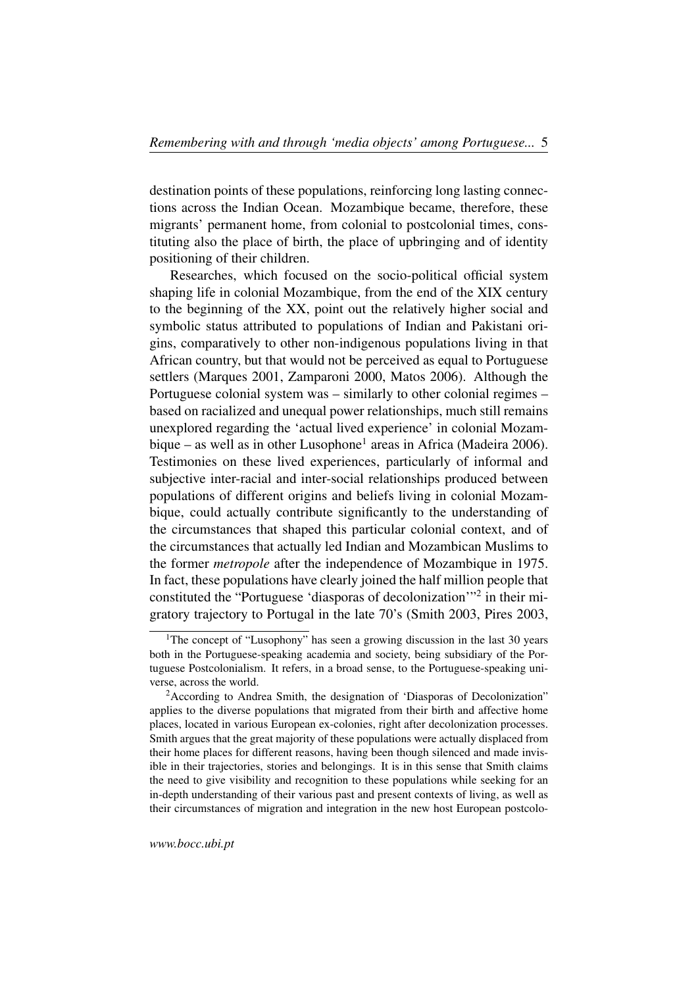destination points of these populations, reinforcing long lasting connections across the Indian Ocean. Mozambique became, therefore, these migrants' permanent home, from colonial to postcolonial times, constituting also the place of birth, the place of upbringing and of identity positioning of their children.

Researches, which focused on the socio-political official system shaping life in colonial Mozambique, from the end of the XIX century to the beginning of the XX, point out the relatively higher social and symbolic status attributed to populations of Indian and Pakistani origins, comparatively to other non-indigenous populations living in that African country, but that would not be perceived as equal to Portuguese settlers (Marques 2001, Zamparoni 2000, Matos 2006). Although the Portuguese colonial system was – similarly to other colonial regimes – based on racialized and unequal power relationships, much still remains unexplored regarding the 'actual lived experience' in colonial Mozam-bique – as well as in other Lusophone<sup>[1](#page-4-0)</sup> areas in Africa (Madeira 2006). Testimonies on these lived experiences, particularly of informal and subjective inter-racial and inter-social relationships produced between populations of different origins and beliefs living in colonial Mozambique, could actually contribute significantly to the understanding of the circumstances that shaped this particular colonial context, and of the circumstances that actually led Indian and Mozambican Muslims to the former *metropole* after the independence of Mozambique in 1975. In fact, these populations have clearly joined the half million people that constituted the "Portuguese 'diasporas of decolonization'"[2](#page-4-1) in their migratory trajectory to Portugal in the late 70's (Smith 2003, Pires 2003,

<span id="page-4-0"></span><sup>&</sup>lt;sup>1</sup>The concept of "Lusophony" has seen a growing discussion in the last 30 years both in the Portuguese-speaking academia and society, being subsidiary of the Portuguese Postcolonialism. It refers, in a broad sense, to the Portuguese-speaking universe, across the world.

<span id="page-4-1"></span><sup>&</sup>lt;sup>2</sup> According to Andrea Smith, the designation of 'Diasporas of Decolonization" applies to the diverse populations that migrated from their birth and affective home places, located in various European ex-colonies, right after decolonization processes. Smith argues that the great majority of these populations were actually displaced from their home places for different reasons, having been though silenced and made invisible in their trajectories, stories and belongings. It is in this sense that Smith claims the need to give visibility and recognition to these populations while seeking for an in-depth understanding of their various past and present contexts of living, as well as their circumstances of migration and integration in the new host European postcolo-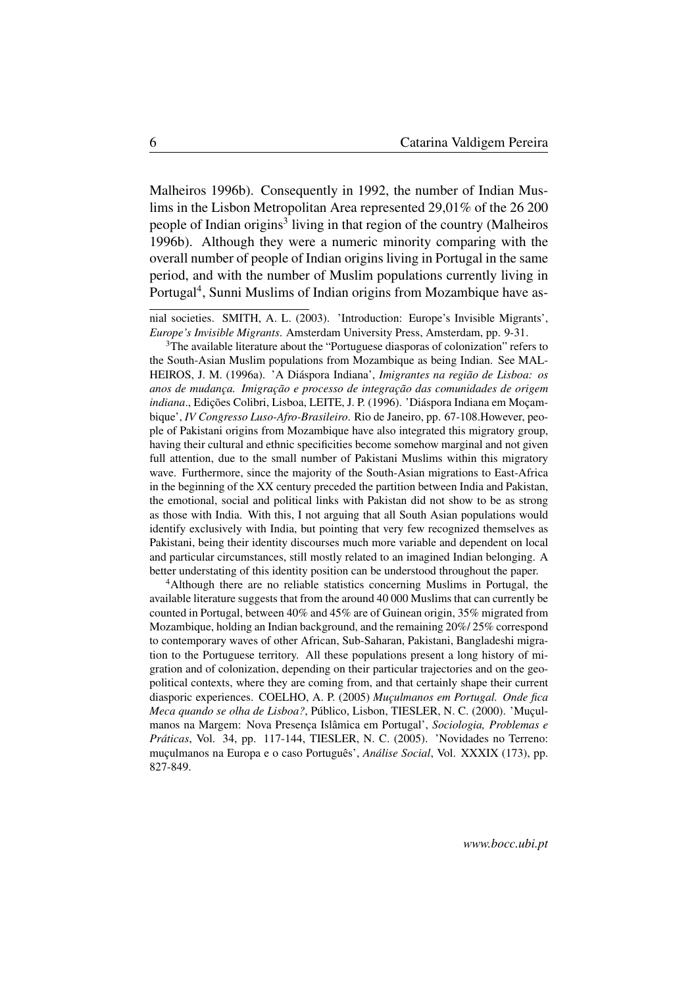Malheiros 1996b). Consequently in 1992, the number of Indian Muslims in the Lisbon Metropolitan Area represented 29,01% of the 26 200 people of Indian origins<sup>[3](#page-5-0)</sup> living in that region of the country (Malheiros 1996b). Although they were a numeric minority comparing with the overall number of people of Indian origins living in Portugal in the same period, and with the number of Muslim populations currently living in Portugal<sup>[4](#page-5-1)</sup>, Sunni Muslims of Indian origins from Mozambique have as-

<span id="page-5-1"></span><sup>4</sup>Although there are no reliable statistics concerning Muslims in Portugal, the available literature suggests that from the around 40 000 Muslims that can currently be counted in Portugal, between 40% and 45% are of Guinean origin, 35% migrated from Mozambique, holding an Indian background, and the remaining 20%/ 25% correspond to contemporary waves of other African, Sub-Saharan, Pakistani, Bangladeshi migration to the Portuguese territory. All these populations present a long history of migration and of colonization, depending on their particular trajectories and on the geopolitical contexts, where they are coming from, and that certainly shape their current diasporic experiences. COELHO, A. P. (2005) *Muçulmanos em Portugal. Onde fica Meca quando se olha de Lisboa?*, Público, Lisbon, TIESLER, N. C. (2000). 'Muçulmanos na Margem: Nova Presença Islâmica em Portugal', *Sociologia, Problemas e Práticas*, Vol. 34, pp. 117-144, TIESLER, N. C. (2005). 'Novidades no Terreno: muçulmanos na Europa e o caso Português', *Análise Social*, Vol. XXXIX (173), pp. 827-849.

nial societies. SMITH, A. L. (2003). 'Introduction: Europe's Invisible Migrants', *Europe's Invisible Migrants*. Amsterdam University Press, Amsterdam, pp. 9-31.

<span id="page-5-0"></span><sup>&</sup>lt;sup>3</sup>The available literature about the "Portuguese diasporas of colonization" refers to the South-Asian Muslim populations from Mozambique as being Indian. See MAL-HEIROS, J. M. (1996a). 'A Diáspora Indiana', *Imigrantes na região de Lisboa: os anos de mudança. Imigração e processo de integração das comunidades de origem indiana*., Edições Colibri, Lisboa, LEITE, J. P. (1996). 'Diáspora Indiana em Moçambique', *IV Congresso Luso-Afro-Brasileiro*. Rio de Janeiro, pp. 67-108.However, people of Pakistani origins from Mozambique have also integrated this migratory group, having their cultural and ethnic specificities become somehow marginal and not given full attention, due to the small number of Pakistani Muslims within this migratory wave. Furthermore, since the majority of the South-Asian migrations to East-Africa in the beginning of the XX century preceded the partition between India and Pakistan, the emotional, social and political links with Pakistan did not show to be as strong as those with India. With this, I not arguing that all South Asian populations would identify exclusively with India, but pointing that very few recognized themselves as Pakistani, being their identity discourses much more variable and dependent on local and particular circumstances, still mostly related to an imagined Indian belonging. A better understating of this identity position can be understood throughout the paper.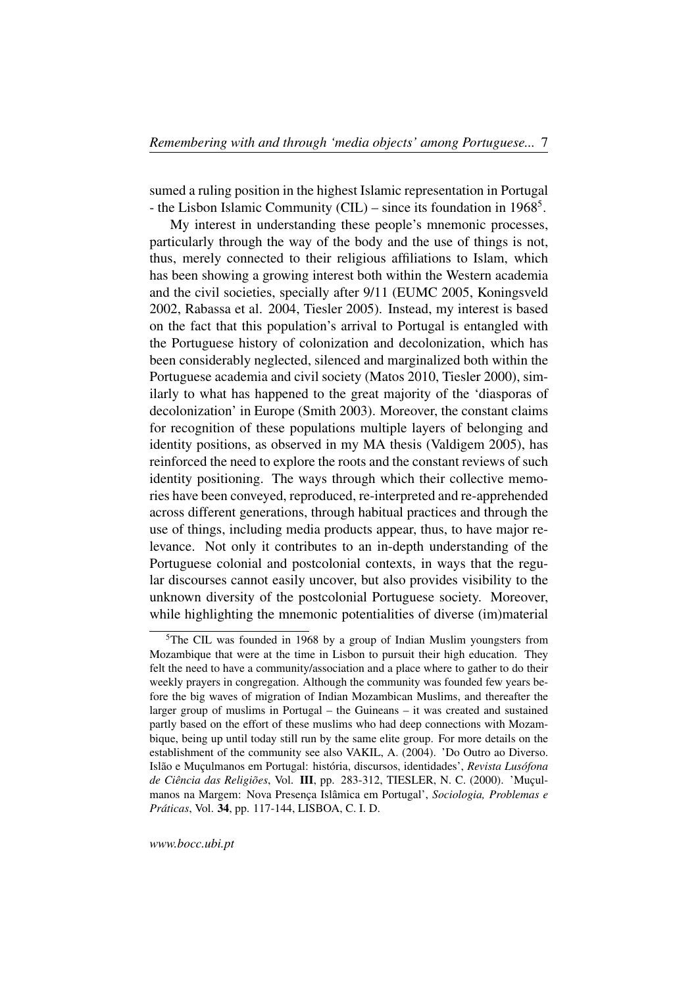sumed a ruling position in the highest Islamic representation in Portugal - the Lisbon Islamic Community (CIL) – since its foundation in 1968<sup>[5](#page-6-0)</sup>.

My interest in understanding these people's mnemonic processes, particularly through the way of the body and the use of things is not, thus, merely connected to their religious affiliations to Islam, which has been showing a growing interest both within the Western academia and the civil societies, specially after 9/11 (EUMC 2005, Koningsveld 2002, Rabassa et al. 2004, Tiesler 2005). Instead, my interest is based on the fact that this population's arrival to Portugal is entangled with the Portuguese history of colonization and decolonization, which has been considerably neglected, silenced and marginalized both within the Portuguese academia and civil society (Matos 2010, Tiesler 2000), similarly to what has happened to the great majority of the 'diasporas of decolonization' in Europe (Smith 2003). Moreover, the constant claims for recognition of these populations multiple layers of belonging and identity positions, as observed in my MA thesis (Valdigem 2005), has reinforced the need to explore the roots and the constant reviews of such identity positioning. The ways through which their collective memories have been conveyed, reproduced, re-interpreted and re-apprehended across different generations, through habitual practices and through the use of things, including media products appear, thus, to have major relevance. Not only it contributes to an in-depth understanding of the Portuguese colonial and postcolonial contexts, in ways that the regular discourses cannot easily uncover, but also provides visibility to the unknown diversity of the postcolonial Portuguese society. Moreover, while highlighting the mnemonic potentialities of diverse (im)material

<span id="page-6-0"></span><sup>&</sup>lt;sup>5</sup>The CIL was founded in 1968 by a group of Indian Muslim youngsters from Mozambique that were at the time in Lisbon to pursuit their high education. They felt the need to have a community/association and a place where to gather to do their weekly prayers in congregation. Although the community was founded few years before the big waves of migration of Indian Mozambican Muslims, and thereafter the larger group of muslims in Portugal – the Guineans – it was created and sustained partly based on the effort of these muslims who had deep connections with Mozambique, being up until today still run by the same elite group. For more details on the establishment of the community see also VAKIL, A. (2004). 'Do Outro ao Diverso. Islão e Muçulmanos em Portugal: história, discursos, identidades', *Revista Lusófona de Ciência das Religiões*, Vol. III, pp. 283-312, TIESLER, N. C. (2000). 'Muçulmanos na Margem: Nova Presença Islâmica em Portugal', *Sociologia, Problemas e Práticas*, Vol. 34, pp. 117-144, LISBOA, C. I. D.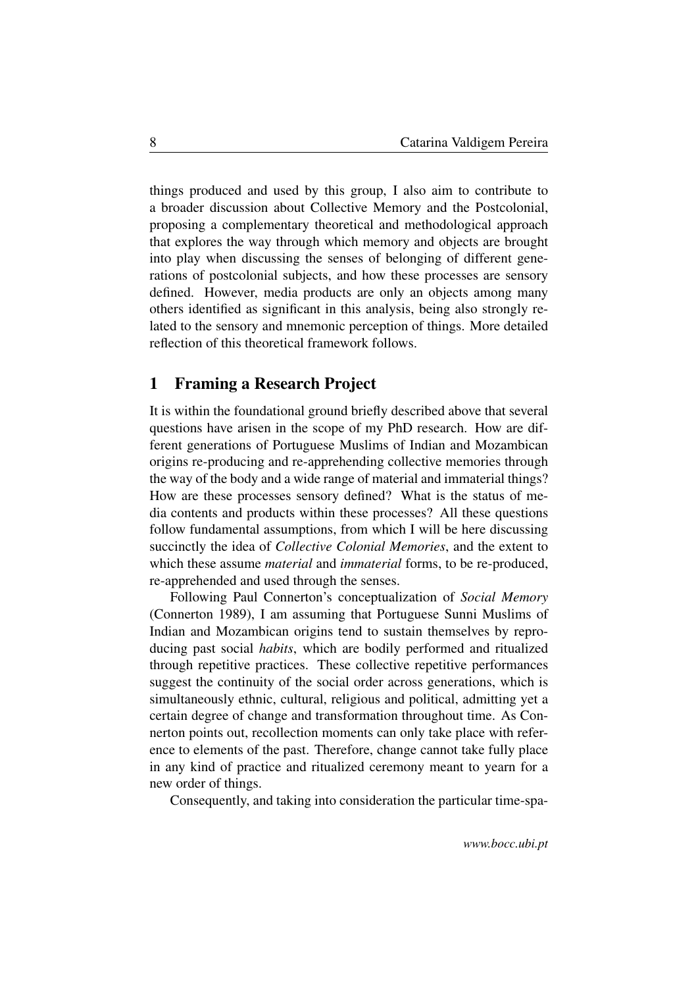things produced and used by this group, I also aim to contribute to a broader discussion about Collective Memory and the Postcolonial, proposing a complementary theoretical and methodological approach that explores the way through which memory and objects are brought into play when discussing the senses of belonging of different generations of postcolonial subjects, and how these processes are sensory defined. However, media products are only an objects among many others identified as significant in this analysis, being also strongly related to the sensory and mnemonic perception of things. More detailed reflection of this theoretical framework follows.

#### <span id="page-7-0"></span>1 Framing a Research Project

It is within the foundational ground briefly described above that several questions have arisen in the scope of my PhD research. How are different generations of Portuguese Muslims of Indian and Mozambican origins re-producing and re-apprehending collective memories through the way of the body and a wide range of material and immaterial things? How are these processes sensory defined? What is the status of media contents and products within these processes? All these questions follow fundamental assumptions, from which I will be here discussing succinctly the idea of *Collective Colonial Memories*, and the extent to which these assume *material* and *immaterial* forms, to be re-produced, re-apprehended and used through the senses.

Following Paul Connerton's conceptualization of *Social Memory* (Connerton 1989), I am assuming that Portuguese Sunni Muslims of Indian and Mozambican origins tend to sustain themselves by reproducing past social *habits*, which are bodily performed and ritualized through repetitive practices. These collective repetitive performances suggest the continuity of the social order across generations, which is simultaneously ethnic, cultural, religious and political, admitting yet a certain degree of change and transformation throughout time. As Connerton points out, recollection moments can only take place with reference to elements of the past. Therefore, change cannot take fully place in any kind of practice and ritualized ceremony meant to yearn for a new order of things.

Consequently, and taking into consideration the particular time-spa-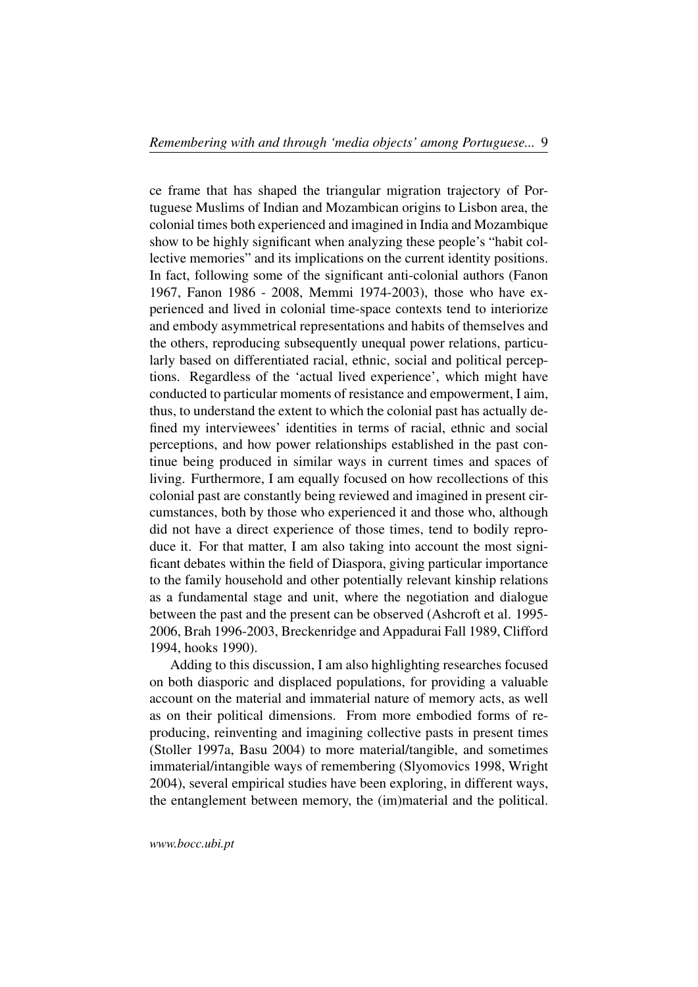ce frame that has shaped the triangular migration trajectory of Portuguese Muslims of Indian and Mozambican origins to Lisbon area, the colonial times both experienced and imagined in India and Mozambique show to be highly significant when analyzing these people's "habit collective memories" and its implications on the current identity positions. In fact, following some of the significant anti-colonial authors (Fanon 1967, Fanon 1986 - 2008, Memmi 1974-2003), those who have experienced and lived in colonial time-space contexts tend to interiorize and embody asymmetrical representations and habits of themselves and the others, reproducing subsequently unequal power relations, particularly based on differentiated racial, ethnic, social and political perceptions. Regardless of the 'actual lived experience', which might have conducted to particular moments of resistance and empowerment, I aim, thus, to understand the extent to which the colonial past has actually defined my interviewees' identities in terms of racial, ethnic and social perceptions, and how power relationships established in the past continue being produced in similar ways in current times and spaces of living. Furthermore, I am equally focused on how recollections of this colonial past are constantly being reviewed and imagined in present circumstances, both by those who experienced it and those who, although did not have a direct experience of those times, tend to bodily reproduce it. For that matter, I am also taking into account the most significant debates within the field of Diaspora, giving particular importance to the family household and other potentially relevant kinship relations as a fundamental stage and unit, where the negotiation and dialogue between the past and the present can be observed (Ashcroft et al. 1995- 2006, Brah 1996-2003, Breckenridge and Appadurai Fall 1989, Clifford 1994, hooks 1990).

Adding to this discussion, I am also highlighting researches focused on both diasporic and displaced populations, for providing a valuable account on the material and immaterial nature of memory acts, as well as on their political dimensions. From more embodied forms of reproducing, reinventing and imagining collective pasts in present times (Stoller 1997a, Basu 2004) to more material/tangible, and sometimes immaterial/intangible ways of remembering (Slyomovics 1998, Wright 2004), several empirical studies have been exploring, in different ways, the entanglement between memory, the (im)material and the political.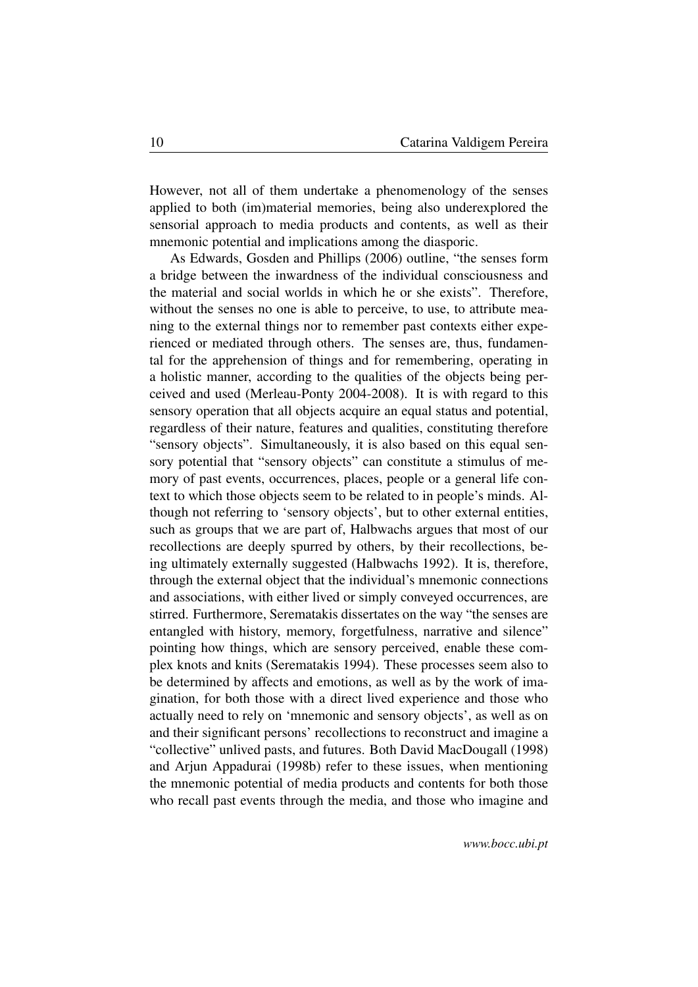However, not all of them undertake a phenomenology of the senses applied to both (im)material memories, being also underexplored the sensorial approach to media products and contents, as well as their mnemonic potential and implications among the diasporic.

As Edwards, Gosden and Phillips (2006) outline, "the senses form a bridge between the inwardness of the individual consciousness and the material and social worlds in which he or she exists". Therefore, without the senses no one is able to perceive, to use, to attribute meaning to the external things nor to remember past contexts either experienced or mediated through others. The senses are, thus, fundamental for the apprehension of things and for remembering, operating in a holistic manner, according to the qualities of the objects being perceived and used (Merleau-Ponty 2004-2008). It is with regard to this sensory operation that all objects acquire an equal status and potential, regardless of their nature, features and qualities, constituting therefore "sensory objects". Simultaneously, it is also based on this equal sensory potential that "sensory objects" can constitute a stimulus of memory of past events, occurrences, places, people or a general life context to which those objects seem to be related to in people's minds. Although not referring to 'sensory objects', but to other external entities, such as groups that we are part of, Halbwachs argues that most of our recollections are deeply spurred by others, by their recollections, being ultimately externally suggested (Halbwachs 1992). It is, therefore, through the external object that the individual's mnemonic connections and associations, with either lived or simply conveyed occurrences, are stirred. Furthermore, Serematakis dissertates on the way "the senses are entangled with history, memory, forgetfulness, narrative and silence" pointing how things, which are sensory perceived, enable these complex knots and knits (Serematakis 1994). These processes seem also to be determined by affects and emotions, as well as by the work of imagination, for both those with a direct lived experience and those who actually need to rely on 'mnemonic and sensory objects', as well as on and their significant persons' recollections to reconstruct and imagine a "collective" unlived pasts, and futures. Both David MacDougall (1998) and Arjun Appadurai (1998b) refer to these issues, when mentioning the mnemonic potential of media products and contents for both those who recall past events through the media, and those who imagine and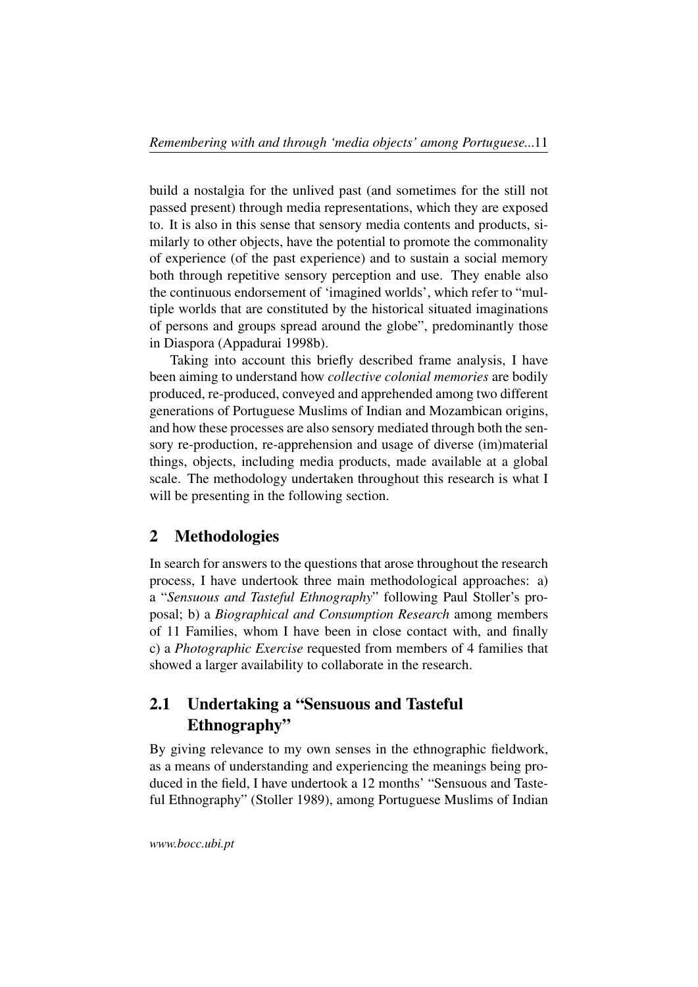build a nostalgia for the unlived past (and sometimes for the still not passed present) through media representations, which they are exposed to. It is also in this sense that sensory media contents and products, similarly to other objects, have the potential to promote the commonality of experience (of the past experience) and to sustain a social memory both through repetitive sensory perception and use. They enable also the continuous endorsement of 'imagined worlds', which refer to "multiple worlds that are constituted by the historical situated imaginations of persons and groups spread around the globe", predominantly those in Diaspora (Appadurai 1998b).

Taking into account this briefly described frame analysis, I have been aiming to understand how *collective colonial memories* are bodily produced, re-produced, conveyed and apprehended among two different generations of Portuguese Muslims of Indian and Mozambican origins, and how these processes are also sensory mediated through both the sensory re-production, re-apprehension and usage of diverse (im)material things, objects, including media products, made available at a global scale. The methodology undertaken throughout this research is what I will be presenting in the following section.

## <span id="page-10-0"></span>2 Methodologies

In search for answers to the questions that arose throughout the research process, I have undertook three main methodological approaches: a) a "*Sensuous and Tasteful Ethnography*" following Paul Stoller's proposal; b) a *Biographical and Consumption Research* among members of 11 Families, whom I have been in close contact with, and finally c) a *Photographic Exercise* requested from members of 4 families that showed a larger availability to collaborate in the research.

# <span id="page-10-1"></span>2.1 Undertaking a "Sensuous and Tasteful Ethnography"

By giving relevance to my own senses in the ethnographic fieldwork, as a means of understanding and experiencing the meanings being produced in the field, I have undertook a 12 months' "Sensuous and Tasteful Ethnography" (Stoller 1989), among Portuguese Muslims of Indian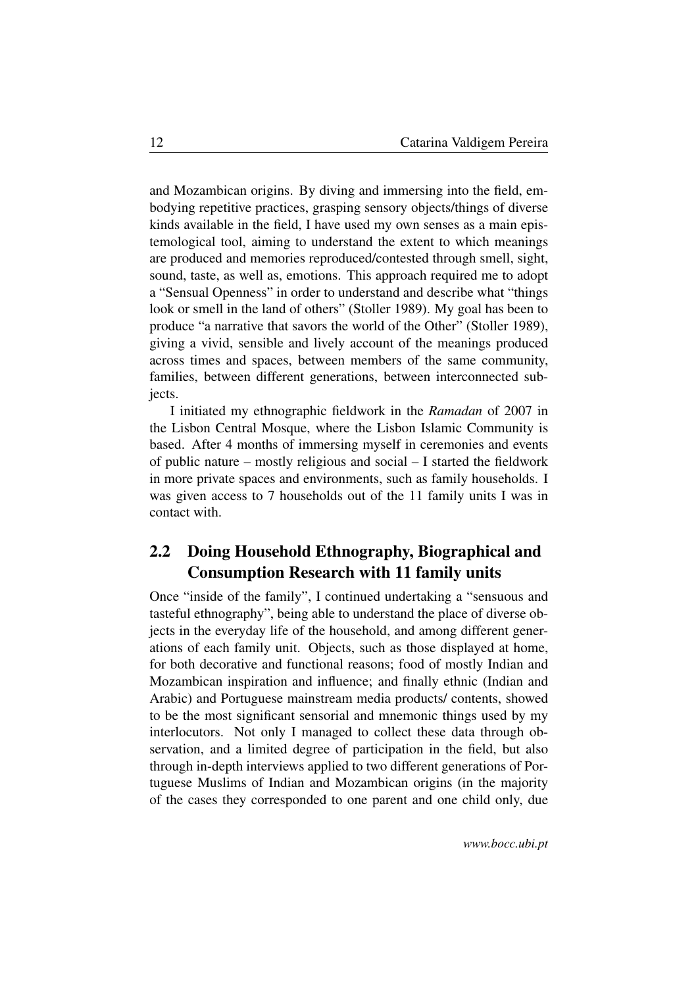and Mozambican origins. By diving and immersing into the field, embodying repetitive practices, grasping sensory objects/things of diverse kinds available in the field, I have used my own senses as a main epistemological tool, aiming to understand the extent to which meanings are produced and memories reproduced/contested through smell, sight, sound, taste, as well as, emotions. This approach required me to adopt a "Sensual Openness" in order to understand and describe what "things look or smell in the land of others" (Stoller 1989). My goal has been to produce "a narrative that savors the world of the Other" (Stoller 1989), giving a vivid, sensible and lively account of the meanings produced across times and spaces, between members of the same community, families, between different generations, between interconnected subjects.

I initiated my ethnographic fieldwork in the *Ramadan* of 2007 in the Lisbon Central Mosque, where the Lisbon Islamic Community is based. After 4 months of immersing myself in ceremonies and events of public nature – mostly religious and social – I started the fieldwork in more private spaces and environments, such as family households. I was given access to 7 households out of the 11 family units I was in contact with.

# <span id="page-11-0"></span>2.2 Doing Household Ethnography, Biographical and Consumption Research with 11 family units

Once "inside of the family", I continued undertaking a "sensuous and tasteful ethnography", being able to understand the place of diverse objects in the everyday life of the household, and among different generations of each family unit. Objects, such as those displayed at home, for both decorative and functional reasons; food of mostly Indian and Mozambican inspiration and influence; and finally ethnic (Indian and Arabic) and Portuguese mainstream media products/ contents, showed to be the most significant sensorial and mnemonic things used by my interlocutors. Not only I managed to collect these data through observation, and a limited degree of participation in the field, but also through in-depth interviews applied to two different generations of Portuguese Muslims of Indian and Mozambican origins (in the majority of the cases they corresponded to one parent and one child only, due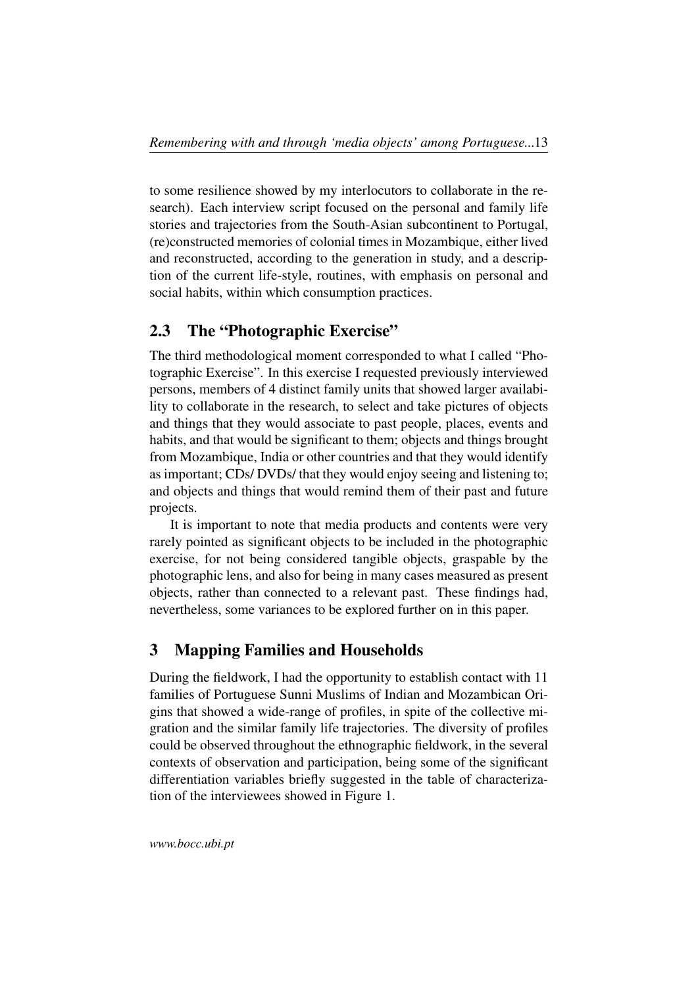to some resilience showed by my interlocutors to collaborate in the research). Each interview script focused on the personal and family life stories and trajectories from the South-Asian subcontinent to Portugal, (re)constructed memories of colonial times in Mozambique, either lived and reconstructed, according to the generation in study, and a description of the current life-style, routines, with emphasis on personal and social habits, within which consumption practices.

## <span id="page-12-0"></span>2.3 The "Photographic Exercise"

The third methodological moment corresponded to what I called "Photographic Exercise". In this exercise I requested previously interviewed persons, members of 4 distinct family units that showed larger availability to collaborate in the research, to select and take pictures of objects and things that they would associate to past people, places, events and habits, and that would be significant to them; objects and things brought from Mozambique, India or other countries and that they would identify as important; CDs/ DVDs/ that they would enjoy seeing and listening to; and objects and things that would remind them of their past and future projects.

It is important to note that media products and contents were very rarely pointed as significant objects to be included in the photographic exercise, for not being considered tangible objects, graspable by the photographic lens, and also for being in many cases measured as present objects, rather than connected to a relevant past. These findings had, nevertheless, some variances to be explored further on in this paper.

#### <span id="page-12-1"></span>3 Mapping Families and Households

During the fieldwork, I had the opportunity to establish contact with 11 families of Portuguese Sunni Muslims of Indian and Mozambican Origins that showed a wide-range of profiles, in spite of the collective migration and the similar family life trajectories. The diversity of profiles could be observed throughout the ethnographic fieldwork, in the several contexts of observation and participation, being some of the significant differentiation variables briefly suggested in the table of characterization of the interviewees showed in Figure 1.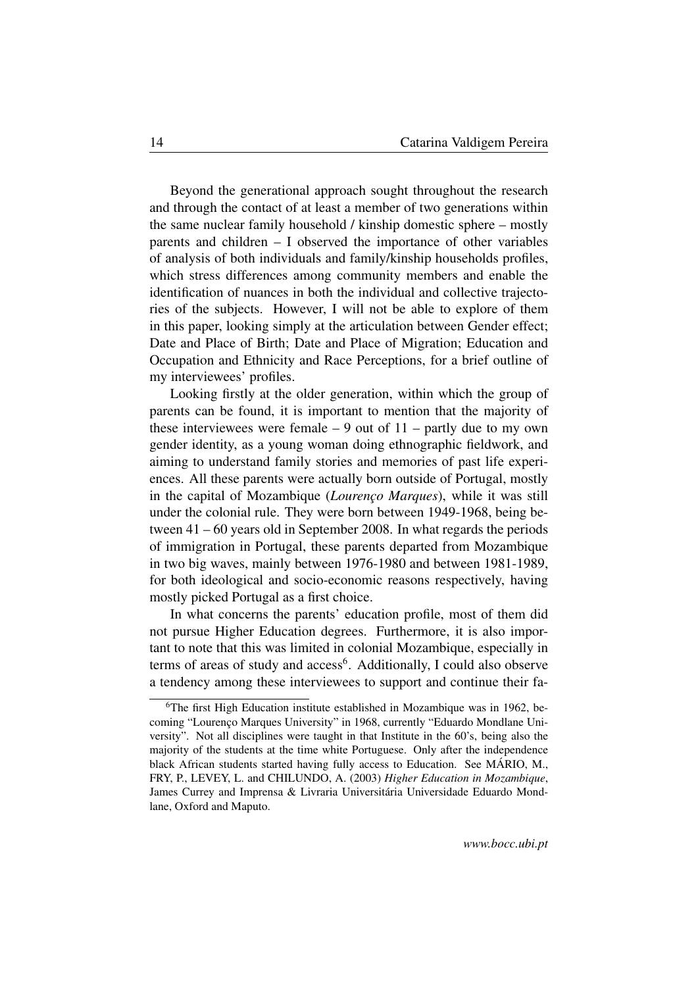Beyond the generational approach sought throughout the research and through the contact of at least a member of two generations within the same nuclear family household / kinship domestic sphere – mostly parents and children – I observed the importance of other variables of analysis of both individuals and family/kinship households profiles, which stress differences among community members and enable the identification of nuances in both the individual and collective trajectories of the subjects. However, I will not be able to explore of them in this paper, looking simply at the articulation between Gender effect; Date and Place of Birth; Date and Place of Migration; Education and Occupation and Ethnicity and Race Perceptions, for a brief outline of my interviewees' profiles.

Looking firstly at the older generation, within which the group of parents can be found, it is important to mention that the majority of these interviewees were female  $-9$  out of  $11$  – partly due to my own gender identity, as a young woman doing ethnographic fieldwork, and aiming to understand family stories and memories of past life experiences. All these parents were actually born outside of Portugal, mostly in the capital of Mozambique (*Lourenço Marques*), while it was still under the colonial rule. They were born between 1949-1968, being between 41 – 60 years old in September 2008. In what regards the periods of immigration in Portugal, these parents departed from Mozambique in two big waves, mainly between 1976-1980 and between 1981-1989, for both ideological and socio-economic reasons respectively, having mostly picked Portugal as a first choice.

In what concerns the parents' education profile, most of them did not pursue Higher Education degrees. Furthermore, it is also important to note that this was limited in colonial Mozambique, especially in terms of areas of study and access<sup>[6](#page-13-0)</sup>. Additionally, I could also observe a tendency among these interviewees to support and continue their fa-

<span id="page-13-0"></span><sup>&</sup>lt;sup>6</sup>The first High Education institute established in Mozambique was in 1962, becoming "Lourenço Marques University" in 1968, currently "Eduardo Mondlane University". Not all disciplines were taught in that Institute in the 60's, being also the majority of the students at the time white Portuguese. Only after the independence black African students started having fully access to Education. See MÁRIO, M., FRY, P., LEVEY, L. and CHILUNDO, A. (2003) *Higher Education in Mozambique*, James Currey and Imprensa & Livraria Universitária Universidade Eduardo Mondlane, Oxford and Maputo.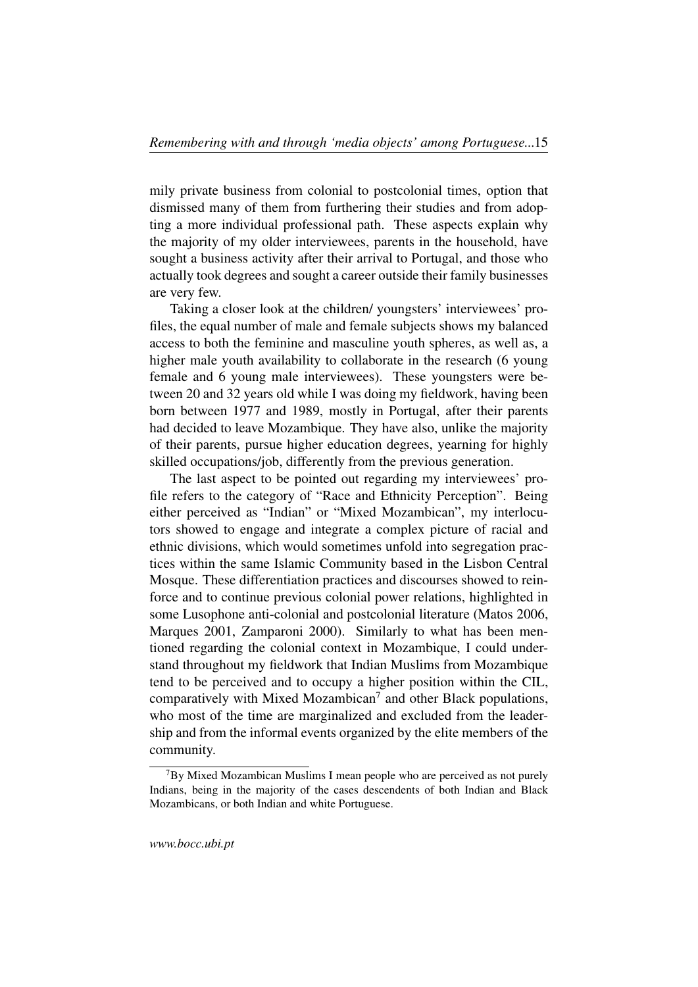mily private business from colonial to postcolonial times, option that dismissed many of them from furthering their studies and from adopting a more individual professional path. These aspects explain why the majority of my older interviewees, parents in the household, have sought a business activity after their arrival to Portugal, and those who actually took degrees and sought a career outside their family businesses are very few.

Taking a closer look at the children/ youngsters' interviewees' profiles, the equal number of male and female subjects shows my balanced access to both the feminine and masculine youth spheres, as well as, a higher male youth availability to collaborate in the research (6 young female and 6 young male interviewees). These youngsters were between 20 and 32 years old while I was doing my fieldwork, having been born between 1977 and 1989, mostly in Portugal, after their parents had decided to leave Mozambique. They have also, unlike the majority of their parents, pursue higher education degrees, yearning for highly skilled occupations/job, differently from the previous generation.

The last aspect to be pointed out regarding my interviewees' profile refers to the category of "Race and Ethnicity Perception". Being either perceived as "Indian" or "Mixed Mozambican", my interlocutors showed to engage and integrate a complex picture of racial and ethnic divisions, which would sometimes unfold into segregation practices within the same Islamic Community based in the Lisbon Central Mosque. These differentiation practices and discourses showed to reinforce and to continue previous colonial power relations, highlighted in some Lusophone anti-colonial and postcolonial literature (Matos 2006, Marques 2001, Zamparoni 2000). Similarly to what has been mentioned regarding the colonial context in Mozambique, I could understand throughout my fieldwork that Indian Muslims from Mozambique tend to be perceived and to occupy a higher position within the CIL, comparatively with Mixed Mozambican<sup>[7](#page-14-0)</sup> and other Black populations, who most of the time are marginalized and excluded from the leadership and from the informal events organized by the elite members of the community.

<span id="page-14-0"></span> $7By$  Mixed Mozambican Muslims I mean people who are perceived as not purely Indians, being in the majority of the cases descendents of both Indian and Black Mozambicans, or both Indian and white Portuguese.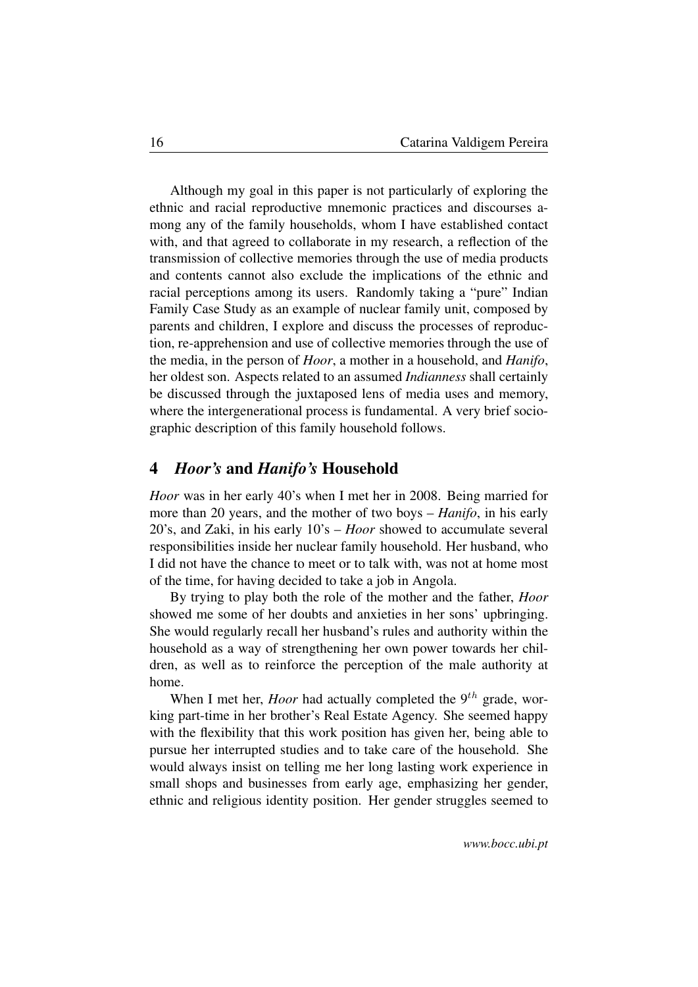Although my goal in this paper is not particularly of exploring the ethnic and racial reproductive mnemonic practices and discourses among any of the family households, whom I have established contact with, and that agreed to collaborate in my research, a reflection of the transmission of collective memories through the use of media products and contents cannot also exclude the implications of the ethnic and racial perceptions among its users. Randomly taking a "pure" Indian Family Case Study as an example of nuclear family unit, composed by parents and children, I explore and discuss the processes of reproduction, re-apprehension and use of collective memories through the use of the media, in the person of *Hoor*, a mother in a household, and *Hanifo*, her oldest son. Aspects related to an assumed *Indianness* shall certainly be discussed through the juxtaposed lens of media uses and memory, where the intergenerational process is fundamental. A very brief sociographic description of this family household follows.

#### <span id="page-15-0"></span>4 *Hoor's* and *Hanifo's* Household

*Hoor* was in her early 40's when I met her in 2008. Being married for more than 20 years, and the mother of two boys – *Hanifo*, in his early 20's, and Zaki, in his early 10's – *Hoor* showed to accumulate several responsibilities inside her nuclear family household. Her husband, who I did not have the chance to meet or to talk with, was not at home most of the time, for having decided to take a job in Angola.

By trying to play both the role of the mother and the father, *Hoor* showed me some of her doubts and anxieties in her sons' upbringing. She would regularly recall her husband's rules and authority within the household as a way of strengthening her own power towards her children, as well as to reinforce the perception of the male authority at home.

When I met her, *Hoor* had actually completed the  $9<sup>th</sup>$  grade, working part-time in her brother's Real Estate Agency. She seemed happy with the flexibility that this work position has given her, being able to pursue her interrupted studies and to take care of the household. She would always insist on telling me her long lasting work experience in small shops and businesses from early age, emphasizing her gender, ethnic and religious identity position. Her gender struggles seemed to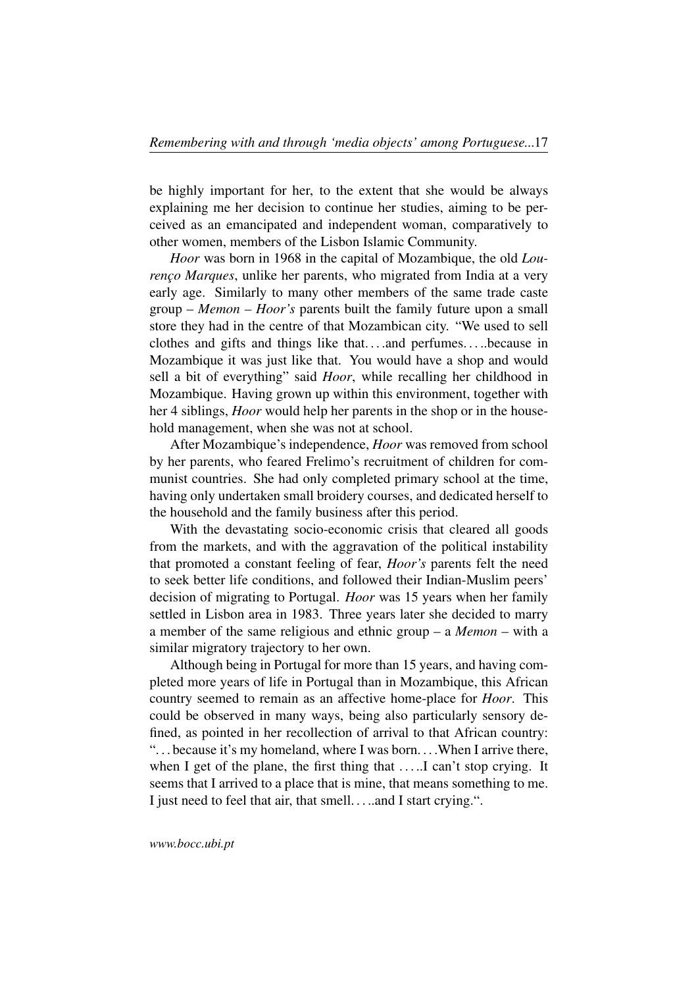be highly important for her, to the extent that she would be always explaining me her decision to continue her studies, aiming to be perceived as an emancipated and independent woman, comparatively to other women, members of the Lisbon Islamic Community.

*Hoor* was born in 1968 in the capital of Mozambique, the old *Lourenço Marques*, unlike her parents, who migrated from India at a very early age. Similarly to many other members of the same trade caste group – *Memon – Hoor's* parents built the family future upon a small store they had in the centre of that Mozambican city. "We used to sell clothes and gifts and things like that. . . .and perfumes. . . ..because in Mozambique it was just like that. You would have a shop and would sell a bit of everything" said *Hoor*, while recalling her childhood in Mozambique. Having grown up within this environment, together with her 4 siblings, *Hoor* would help her parents in the shop or in the household management, when she was not at school.

After Mozambique's independence, *Hoor* was removed from school by her parents, who feared Frelimo's recruitment of children for communist countries. She had only completed primary school at the time, having only undertaken small broidery courses, and dedicated herself to the household and the family business after this period.

With the devastating socio-economic crisis that cleared all goods from the markets, and with the aggravation of the political instability that promoted a constant feeling of fear, *Hoor's* parents felt the need to seek better life conditions, and followed their Indian-Muslim peers' decision of migrating to Portugal. *Hoor* was 15 years when her family settled in Lisbon area in 1983. Three years later she decided to marry a member of the same religious and ethnic group – a *Memon* – with a similar migratory trajectory to her own.

Although being in Portugal for more than 15 years, and having completed more years of life in Portugal than in Mozambique, this African country seemed to remain as an affective home-place for *Hoor*. This could be observed in many ways, being also particularly sensory defined, as pointed in her recollection of arrival to that African country: ". . . because it's my homeland, where I was born. . . .When I arrive there, when I get of the plane, the first thing that ... ... I can't stop crying. It seems that I arrived to a place that is mine, that means something to me. I just need to feel that air, that smell. . . ..and I start crying.".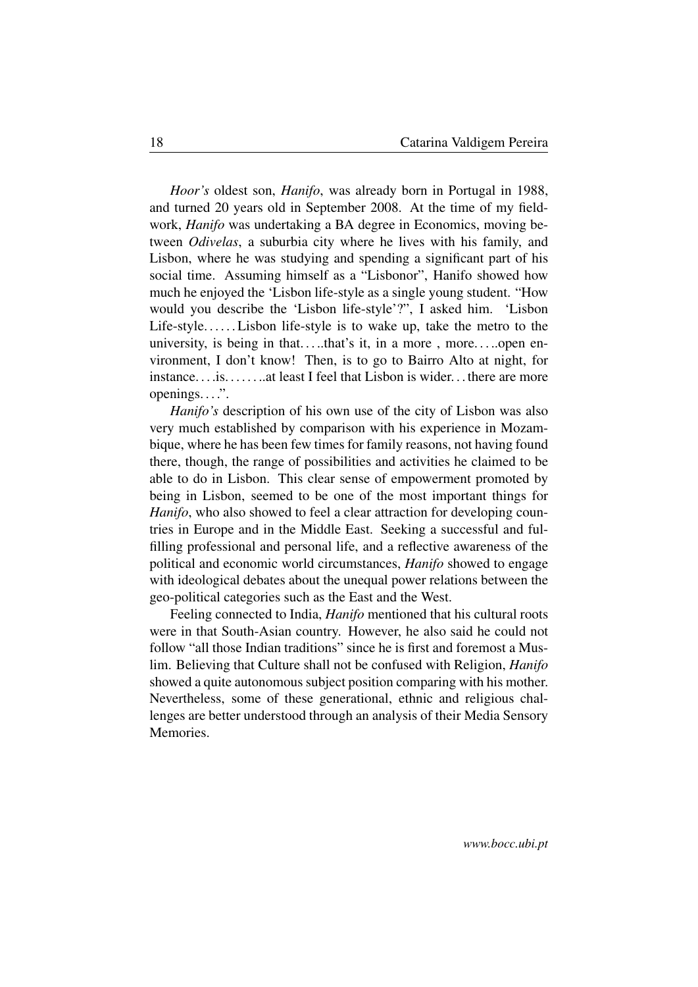*Hoor's* oldest son, *Hanifo*, was already born in Portugal in 1988, and turned 20 years old in September 2008. At the time of my fieldwork, *Hanifo* was undertaking a BA degree in Economics, moving between *Odivelas*, a suburbia city where he lives with his family, and Lisbon, where he was studying and spending a significant part of his social time. Assuming himself as a "Lisbonor", Hanifo showed how much he enjoyed the 'Lisbon life-style as a single young student. "How would you describe the 'Lisbon life-style'?", I asked him. 'Lisbon Life-style......Lisbon life-style is to wake up, take the metro to the university, is being in that....that's it, in a more, more.....open environment, I don't know! Then, is to go to Bairro Alto at night, for instance. . . .is. . . . . . ..at least I feel that Lisbon is wider. . . there are more openings...".

*Hanifo's* description of his own use of the city of Lisbon was also very much established by comparison with his experience in Mozambique, where he has been few times for family reasons, not having found there, though, the range of possibilities and activities he claimed to be able to do in Lisbon. This clear sense of empowerment promoted by being in Lisbon, seemed to be one of the most important things for *Hanifo*, who also showed to feel a clear attraction for developing countries in Europe and in the Middle East. Seeking a successful and fulfilling professional and personal life, and a reflective awareness of the political and economic world circumstances, *Hanifo* showed to engage with ideological debates about the unequal power relations between the geo-political categories such as the East and the West.

<span id="page-17-0"></span>Feeling connected to India, *Hanifo* mentioned that his cultural roots were in that South-Asian country. However, he also said he could not follow "all those Indian traditions" since he is first and foremost a Muslim. Believing that Culture shall not be confused with Religion, *Hanifo* showed a quite autonomous subject position comparing with his mother. Nevertheless, some of these generational, ethnic and religious challenges are better understood through an analysis of their Media Sensory Memories.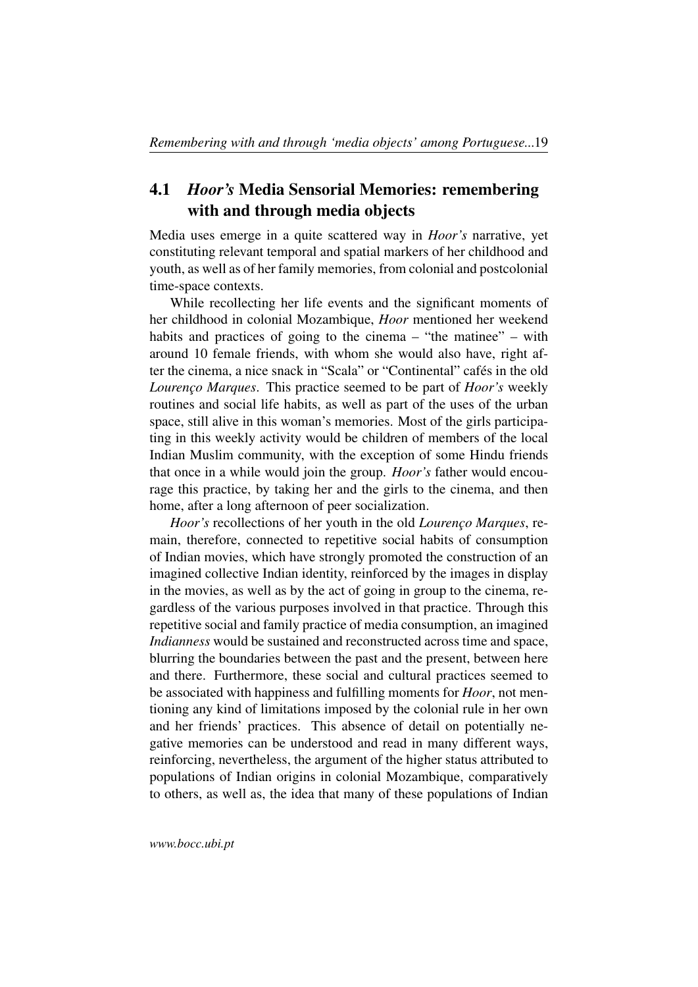## 4.1 *Hoor's* Media Sensorial Memories: remembering with and through media objects

Media uses emerge in a quite scattered way in *Hoor's* narrative, yet constituting relevant temporal and spatial markers of her childhood and youth, as well as of her family memories, from colonial and postcolonial time-space contexts.

While recollecting her life events and the significant moments of her childhood in colonial Mozambique, *Hoor* mentioned her weekend habits and practices of going to the cinema – "the matinee" – with around 10 female friends, with whom she would also have, right after the cinema, a nice snack in "Scala" or "Continental" cafés in the old *Lourenço Marques*. This practice seemed to be part of *Hoor's* weekly routines and social life habits, as well as part of the uses of the urban space, still alive in this woman's memories. Most of the girls participating in this weekly activity would be children of members of the local Indian Muslim community, with the exception of some Hindu friends that once in a while would join the group. *Hoor's* father would encourage this practice, by taking her and the girls to the cinema, and then home, after a long afternoon of peer socialization.

*Hoor's* recollections of her youth in the old *Lourenço Marques*, remain, therefore, connected to repetitive social habits of consumption of Indian movies, which have strongly promoted the construction of an imagined collective Indian identity, reinforced by the images in display in the movies, as well as by the act of going in group to the cinema, regardless of the various purposes involved in that practice. Through this repetitive social and family practice of media consumption, an imagined *Indianness* would be sustained and reconstructed across time and space, blurring the boundaries between the past and the present, between here and there. Furthermore, these social and cultural practices seemed to be associated with happiness and fulfilling moments for *Hoor*, not mentioning any kind of limitations imposed by the colonial rule in her own and her friends' practices. This absence of detail on potentially negative memories can be understood and read in many different ways, reinforcing, nevertheless, the argument of the higher status attributed to populations of Indian origins in colonial Mozambique, comparatively to others, as well as, the idea that many of these populations of Indian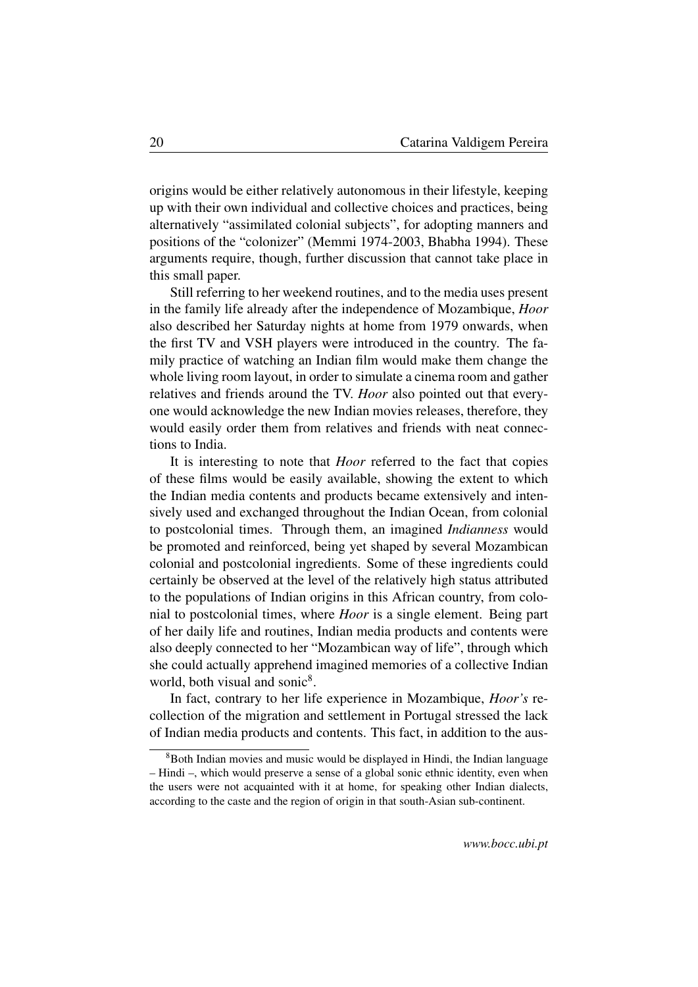origins would be either relatively autonomous in their lifestyle, keeping up with their own individual and collective choices and practices, being alternatively "assimilated colonial subjects", for adopting manners and positions of the "colonizer" (Memmi 1974-2003, Bhabha 1994). These arguments require, though, further discussion that cannot take place in this small paper.

Still referring to her weekend routines, and to the media uses present in the family life already after the independence of Mozambique, *Hoor* also described her Saturday nights at home from 1979 onwards, when the first TV and VSH players were introduced in the country. The family practice of watching an Indian film would make them change the whole living room layout, in order to simulate a cinema room and gather relatives and friends around the TV. *Hoor* also pointed out that everyone would acknowledge the new Indian movies releases, therefore, they would easily order them from relatives and friends with neat connections to India.

It is interesting to note that *Hoor* referred to the fact that copies of these films would be easily available, showing the extent to which the Indian media contents and products became extensively and intensively used and exchanged throughout the Indian Ocean, from colonial to postcolonial times. Through them, an imagined *Indianness* would be promoted and reinforced, being yet shaped by several Mozambican colonial and postcolonial ingredients. Some of these ingredients could certainly be observed at the level of the relatively high status attributed to the populations of Indian origins in this African country, from colonial to postcolonial times, where *Hoor* is a single element. Being part of her daily life and routines, Indian media products and contents were also deeply connected to her "Mozambican way of life", through which she could actually apprehend imagined memories of a collective Indian world, both visual and sonic<sup>[8](#page-19-0)</sup>.

In fact, contrary to her life experience in Mozambique, *Hoor's* recollection of the migration and settlement in Portugal stressed the lack of Indian media products and contents. This fact, in addition to the aus-

<span id="page-19-0"></span><sup>&</sup>lt;sup>8</sup>Both Indian movies and music would be displayed in Hindi, the Indian language – Hindi –, which would preserve a sense of a global sonic ethnic identity, even when the users were not acquainted with it at home, for speaking other Indian dialects, according to the caste and the region of origin in that south-Asian sub-continent.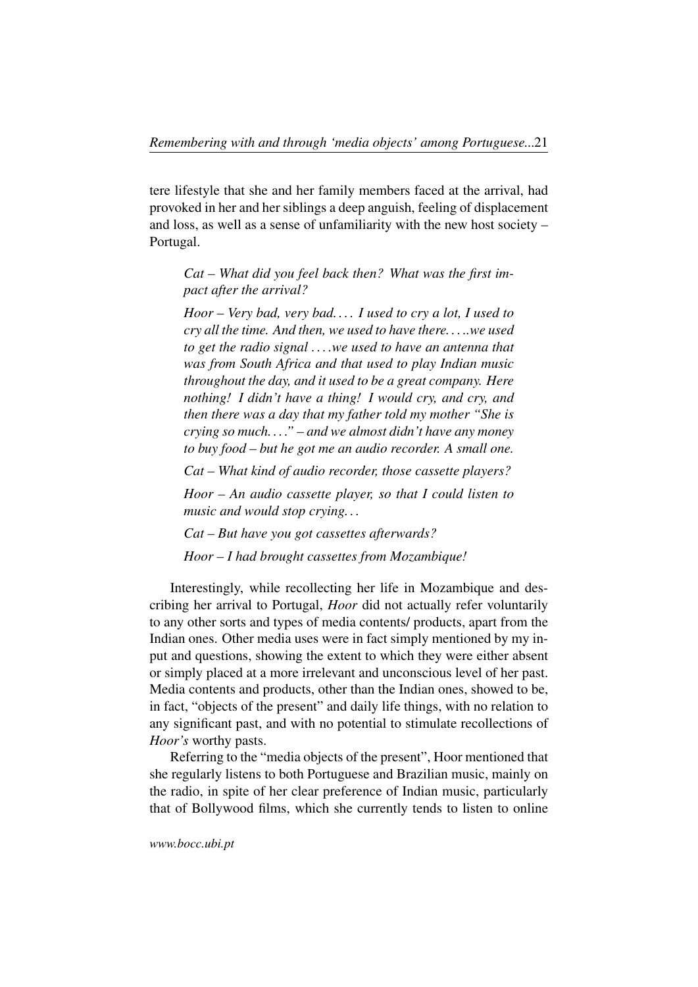tere lifestyle that she and her family members faced at the arrival, had provoked in her and her siblings a deep anguish, feeling of displacement and loss, as well as a sense of unfamiliarity with the new host society – Portugal.

*Cat – What did you feel back then? What was the first impact after the arrival?*

*Hoor – Very bad, very bad. . . . I used to cry a lot, I used to cry all the time. And then, we used to have there. . . ..we used to get the radio signal . . . .we used to have an antenna that was from South Africa and that used to play Indian music throughout the day, and it used to be a great company. Here nothing! I didn't have a thing! I would cry, and cry, and then there was a day that my father told my mother "She is crying so much. . . ." – and we almost didn't have any money to buy food – but he got me an audio recorder. A small one.*

*Cat – What kind of audio recorder, those cassette players?*

*Hoor – An audio cassette player, so that I could listen to music and would stop crying. . .*

*Cat – But have you got cassettes afterwards?*

*Hoor – I had brought cassettes from Mozambique!*

Interestingly, while recollecting her life in Mozambique and describing her arrival to Portugal, *Hoor* did not actually refer voluntarily to any other sorts and types of media contents/ products, apart from the Indian ones. Other media uses were in fact simply mentioned by my input and questions, showing the extent to which they were either absent or simply placed at a more irrelevant and unconscious level of her past. Media contents and products, other than the Indian ones, showed to be, in fact, "objects of the present" and daily life things, with no relation to any significant past, and with no potential to stimulate recollections of *Hoor's* worthy pasts.

Referring to the "media objects of the present", Hoor mentioned that she regularly listens to both Portuguese and Brazilian music, mainly on the radio, in spite of her clear preference of Indian music, particularly that of Bollywood films, which she currently tends to listen to online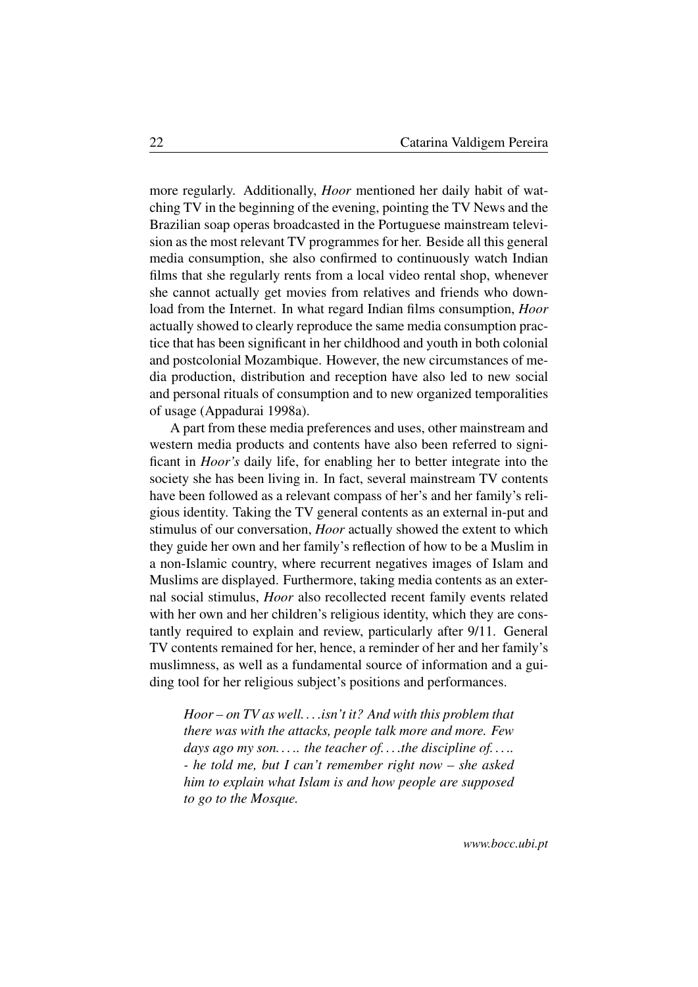more regularly. Additionally, *Hoor* mentioned her daily habit of watching TV in the beginning of the evening, pointing the TV News and the Brazilian soap operas broadcasted in the Portuguese mainstream television as the most relevant TV programmes for her. Beside all this general media consumption, she also confirmed to continuously watch Indian films that she regularly rents from a local video rental shop, whenever she cannot actually get movies from relatives and friends who download from the Internet. In what regard Indian films consumption, *Hoor* actually showed to clearly reproduce the same media consumption practice that has been significant in her childhood and youth in both colonial and postcolonial Mozambique. However, the new circumstances of media production, distribution and reception have also led to new social and personal rituals of consumption and to new organized temporalities of usage (Appadurai 1998a).

A part from these media preferences and uses, other mainstream and western media products and contents have also been referred to significant in *Hoor's* daily life, for enabling her to better integrate into the society she has been living in. In fact, several mainstream TV contents have been followed as a relevant compass of her's and her family's religious identity. Taking the TV general contents as an external in-put and stimulus of our conversation, *Hoor* actually showed the extent to which they guide her own and her family's reflection of how to be a Muslim in a non-Islamic country, where recurrent negatives images of Islam and Muslims are displayed. Furthermore, taking media contents as an external social stimulus, *Hoor* also recollected recent family events related with her own and her children's religious identity, which they are constantly required to explain and review, particularly after 9/11. General TV contents remained for her, hence, a reminder of her and her family's muslimness, as well as a fundamental source of information and a guiding tool for her religious subject's positions and performances.

*Hoor – on TV as well. . . .isn't it? And with this problem that there was with the attacks, people talk more and more. Few days ago my son. . . .. the teacher of. . . .the discipline of. . . .. - he told me, but I can't remember right now – she asked him to explain what Islam is and how people are supposed to go to the Mosque.*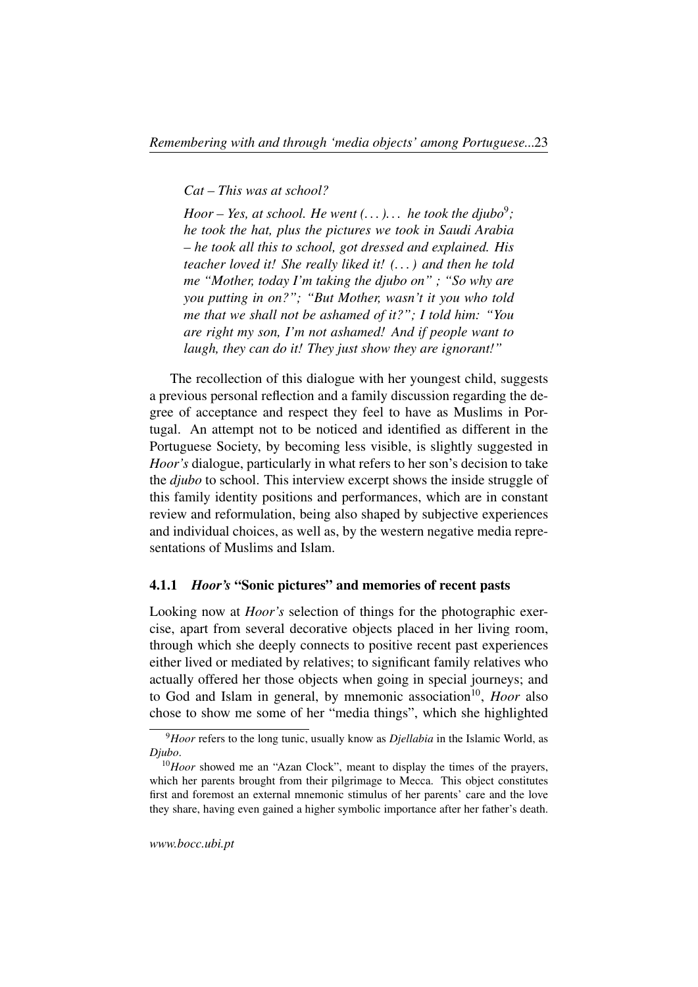*Cat – This was at school?*

*Hoor* – Yes, at school. He went  $(...).$  *he took the djubo*<sup>[9](#page-22-1)</sup>; *he took the hat, plus the pictures we took in Saudi Arabia – he took all this to school, got dressed and explained. His teacher loved it! She really liked it! (. . . ) and then he told me "Mother, today I'm taking the djubo on" ; "So why are you putting in on?"; "But Mother, wasn't it you who told me that we shall not be ashamed of it?"; I told him: "You are right my son, I'm not ashamed! And if people want to laugh, they can do it! They just show they are ignorant!"*

The recollection of this dialogue with her youngest child, suggests a previous personal reflection and a family discussion regarding the degree of acceptance and respect they feel to have as Muslims in Portugal. An attempt not to be noticed and identified as different in the Portuguese Society, by becoming less visible, is slightly suggested in *Hoor's* dialogue, particularly in what refers to her son's decision to take the *djubo* to school. This interview excerpt shows the inside struggle of this family identity positions and performances, which are in constant review and reformulation, being also shaped by subjective experiences and individual choices, as well as, by the western negative media representations of Muslims and Islam.

#### <span id="page-22-0"></span>4.1.1 *Hoor's* "Sonic pictures" and memories of recent pasts

Looking now at *Hoor's* selection of things for the photographic exercise, apart from several decorative objects placed in her living room, through which she deeply connects to positive recent past experiences either lived or mediated by relatives; to significant family relatives who actually offered her those objects when going in special journeys; and to God and Islam in general, by mnemonic association<sup>[10](#page-22-2)</sup>, *Hoor* also chose to show me some of her "media things", which she highlighted

<span id="page-22-1"></span><sup>9</sup>*Hoor* refers to the long tunic, usually know as *Djellabia* in the Islamic World, as *Djubo*.

<span id="page-22-2"></span><sup>&</sup>lt;sup>10</sup>*Hoor* showed me an "Azan Clock", meant to display the times of the prayers, which her parents brought from their pilgrimage to Mecca. This object constitutes first and foremost an external mnemonic stimulus of her parents' care and the love they share, having even gained a higher symbolic importance after her father's death.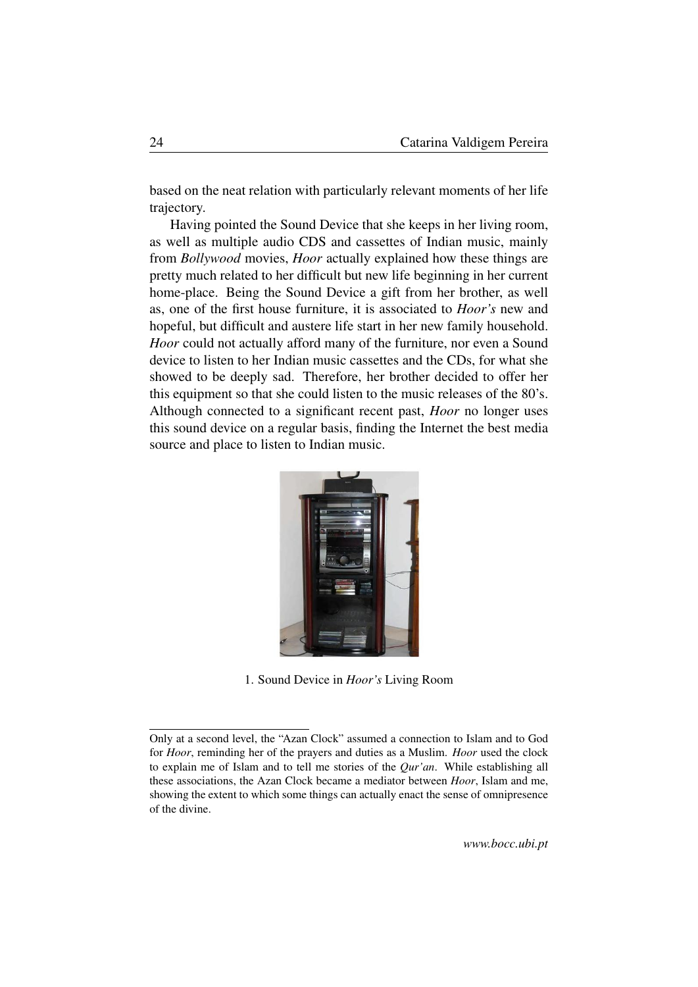based on the neat relation with particularly relevant moments of her life trajectory.

Having pointed the Sound Device that she keeps in her living room, as well as multiple audio CDS and cassettes of Indian music, mainly from *Bollywood* movies, *Hoor* actually explained how these things are pretty much related to her difficult but new life beginning in her current home-place. Being the Sound Device a gift from her brother, as well as, one of the first house furniture, it is associated to *Hoor's* new and hopeful, but difficult and austere life start in her new family household. *Hoor* could not actually afford many of the furniture, nor even a Sound device to listen to her Indian music cassettes and the CDs, for what she showed to be deeply sad. Therefore, her brother decided to offer her this equipment so that she could listen to the music releases of the 80's. Although connected to a significant recent past, *Hoor* no longer uses this sound device on a regular basis, finding the Internet the best media source and place to listen to Indian music.



1. Sound Device in *Hoor's* Living Room

Only at a second level, the "Azan Clock" assumed a connection to Islam and to God for *Hoor*, reminding her of the prayers and duties as a Muslim. *Hoor* used the clock to explain me of Islam and to tell me stories of the *Qur'an*. While establishing all these associations, the Azan Clock became a mediator between *Hoor*, Islam and me, showing the extent to which some things can actually enact the sense of omnipresence of the divine.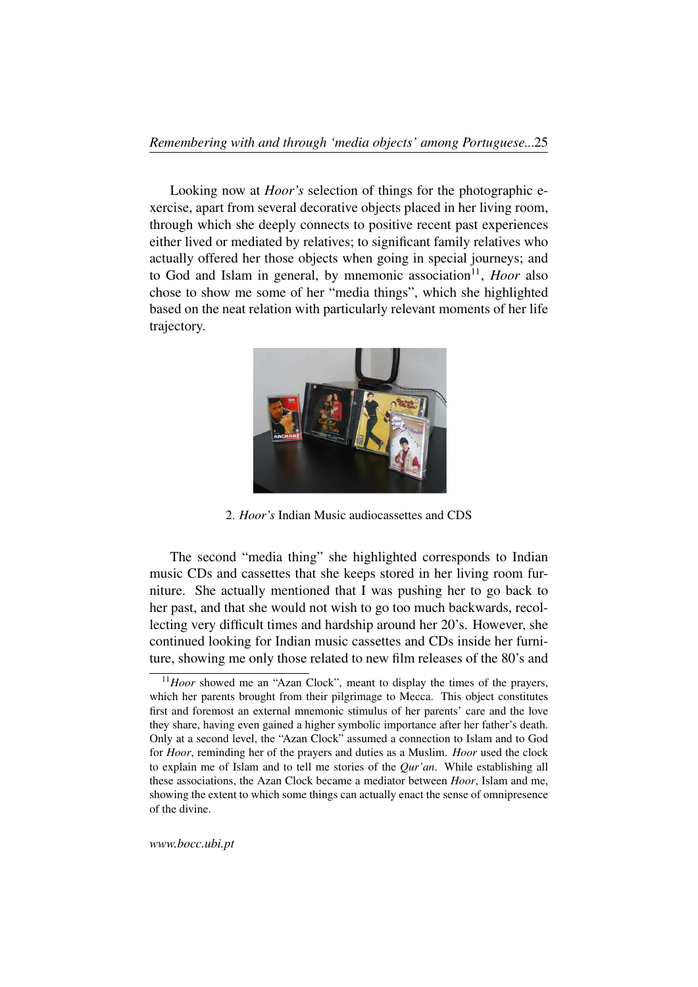Looking now at *Hoor's* selection of things for the photographic exercise, apart from several decorative objects placed in her living room, through which she deeply connects to positive recent past experiences either lived or mediated by relatives; to significant family relatives who actually offered her those objects when going in special journeys; and to God and Islam in general, by mnemonic association<sup>[11](#page-24-0)</sup>, *Hoor* also chose to show me some of her "media things", which she highlighted based on the neat relation with particularly relevant moments of her life trajectory.



2. *Hoor's* Indian Music audiocassettes and CDS

The second "media thing" she highlighted corresponds to Indian music CDs and cassettes that she keeps stored in her living room furniture. She actually mentioned that I was pushing her to go back to her past, and that she would not wish to go too much backwards, recollecting very difficult times and hardship around her 20's. However, she continued looking for Indian music cassettes and CDs inside her furniture, showing me only those related to new film releases of the 80's and

<span id="page-24-0"></span><sup>&</sup>lt;sup>11</sup>*Hoor* showed me an "Azan Clock", meant to display the times of the prayers, which her parents brought from their pilgrimage to Mecca. This object constitutes first and foremost an external mnemonic stimulus of her parents' care and the love they share, having even gained a higher symbolic importance after her father's death. Only at a second level, the "Azan Clock" assumed a connection to Islam and to God for *Hoor*, reminding her of the prayers and duties as a Muslim. *Hoor* used the clock to explain me of Islam and to tell me stories of the *Qur'an*. While establishing all these associations, the Azan Clock became a mediator between *Hoor*, Islam and me, showing the extent to which some things can actually enact the sense of omnipresence of the divine.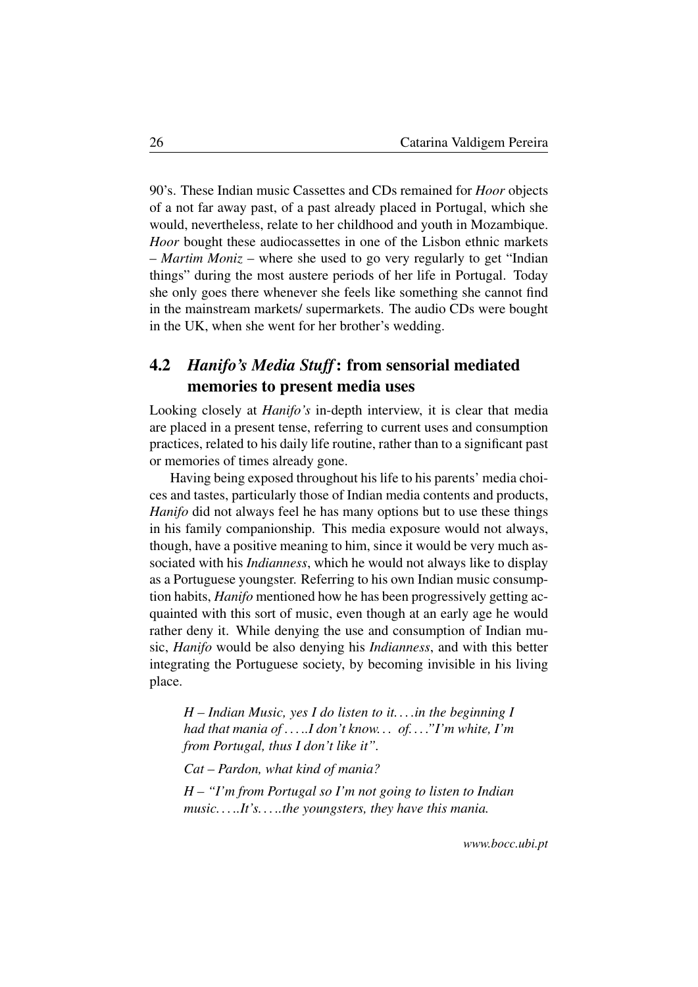90's. These Indian music Cassettes and CDs remained for *Hoor* objects of a not far away past, of a past already placed in Portugal, which she would, nevertheless, relate to her childhood and youth in Mozambique. *Hoor* bought these audiocassettes in one of the Lisbon ethnic markets – *Martim Moniz* – where she used to go very regularly to get "Indian things" during the most austere periods of her life in Portugal. Today she only goes there whenever she feels like something she cannot find in the mainstream markets/ supermarkets. The audio CDs were bought in the UK, when she went for her brother's wedding.

# <span id="page-25-0"></span>4.2 *Hanifo's Media Stuff*: from sensorial mediated memories to present media uses

Looking closely at *Hanifo's* in-depth interview, it is clear that media are placed in a present tense, referring to current uses and consumption practices, related to his daily life routine, rather than to a significant past or memories of times already gone.

Having being exposed throughout his life to his parents' media choices and tastes, particularly those of Indian media contents and products, *Hanifo* did not always feel he has many options but to use these things in his family companionship. This media exposure would not always, though, have a positive meaning to him, since it would be very much associated with his *Indianness*, which he would not always like to display as a Portuguese youngster. Referring to his own Indian music consumption habits, *Hanifo* mentioned how he has been progressively getting acquainted with this sort of music, even though at an early age he would rather deny it. While denying the use and consumption of Indian music, *Hanifo* would be also denying his *Indianness*, and with this better integrating the Portuguese society, by becoming invisible in his living place.

*H – Indian Music, yes I do listen to it. . . .in the beginning I had that mania of . . . ..I don't know. . . of. . . ."I'm white, I'm from Portugal, thus I don't like it".*

*Cat – Pardon, what kind of mania?*

*H – "I'm from Portugal so I'm not going to listen to Indian music. . . ..It's. . . ..the youngsters, they have this mania.*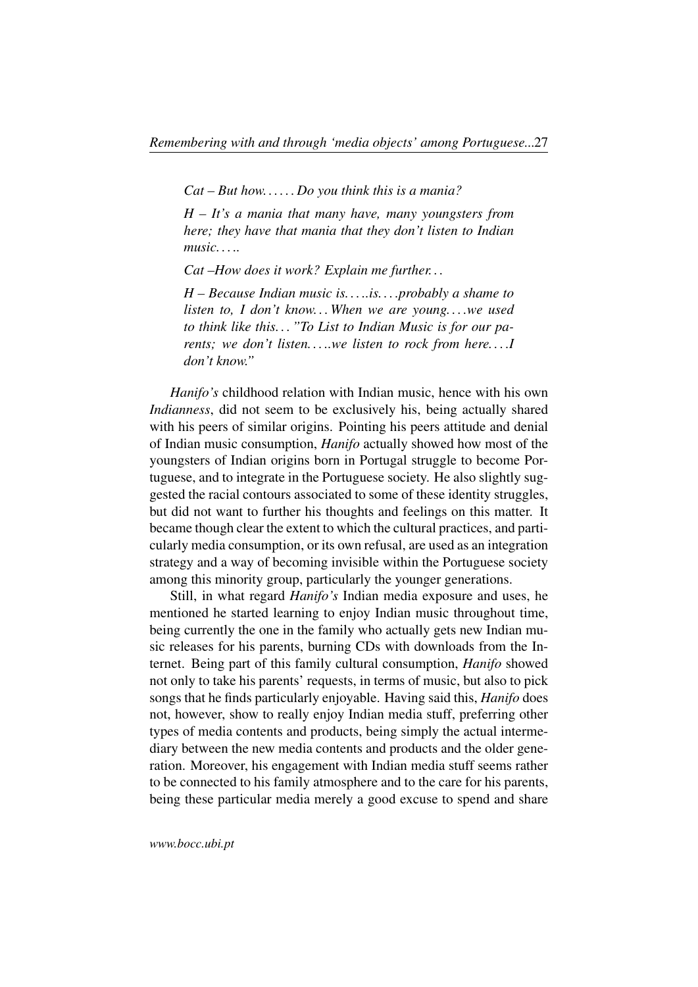*Cat – But how. . . . . . Do you think this is a mania?*

*H – It's a mania that many have, many youngsters from here; they have that mania that they don't listen to Indian music. . . ..*

*Cat –How does it work? Explain me further. . .*

*H – Because Indian music is. . . ..is. . . .probably a shame to listen to, I don't know. . . When we are young. . . .we used to think like this. . . "To List to Indian Music is for our parents; we don't listen. . . ..we listen to rock from here. . . .I don't know."*

*Hanifo's* childhood relation with Indian music, hence with his own *Indianness*, did not seem to be exclusively his, being actually shared with his peers of similar origins. Pointing his peers attitude and denial of Indian music consumption, *Hanifo* actually showed how most of the youngsters of Indian origins born in Portugal struggle to become Portuguese, and to integrate in the Portuguese society. He also slightly suggested the racial contours associated to some of these identity struggles, but did not want to further his thoughts and feelings on this matter. It became though clear the extent to which the cultural practices, and particularly media consumption, or its own refusal, are used as an integration strategy and a way of becoming invisible within the Portuguese society among this minority group, particularly the younger generations.

Still, in what regard *Hanifo's* Indian media exposure and uses, he mentioned he started learning to enjoy Indian music throughout time, being currently the one in the family who actually gets new Indian music releases for his parents, burning CDs with downloads from the Internet. Being part of this family cultural consumption, *Hanifo* showed not only to take his parents' requests, in terms of music, but also to pick songs that he finds particularly enjoyable. Having said this, *Hanifo* does not, however, show to really enjoy Indian media stuff, preferring other types of media contents and products, being simply the actual intermediary between the new media contents and products and the older generation. Moreover, his engagement with Indian media stuff seems rather to be connected to his family atmosphere and to the care for his parents, being these particular media merely a good excuse to spend and share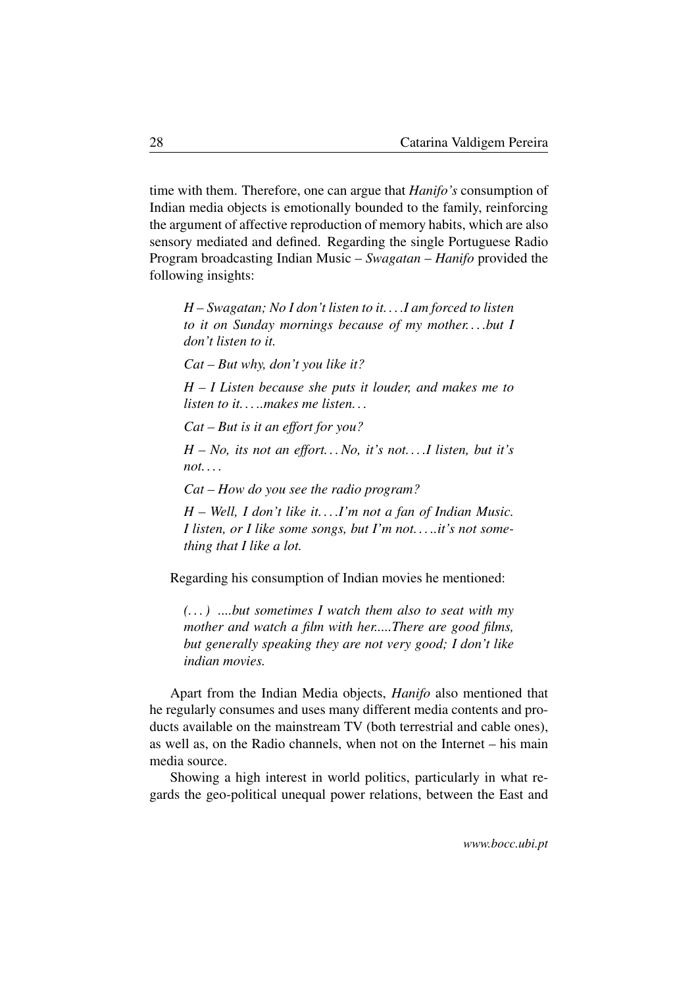time with them. Therefore, one can argue that *Hanifo's* consumption of Indian media objects is emotionally bounded to the family, reinforcing the argument of affective reproduction of memory habits, which are also sensory mediated and defined. Regarding the single Portuguese Radio Program broadcasting Indian Music – *Swagatan* – *Hanifo* provided the following insights:

*H – Swagatan; No I don't listen to it. . . .I am forced to listen to it on Sunday mornings because of my mother. . . .but I don't listen to it.*

*Cat – But why, don't you like it?*

*H – I Listen because she puts it louder, and makes me to listen to it. . . ..makes me listen. . .*

*Cat – But is it an effort for you?*

*H – No, its not an effort. . . No, it's not. . . .I listen, but it's not. . . .*

*Cat – How do you see the radio program?*

*H – Well, I don't like it. . . .I'm not a fan of Indian Music. I listen, or I like some songs, but I'm not. . . ..it's not something that I like a lot.*

Regarding his consumption of Indian movies he mentioned:

*(. . . ) ....but sometimes I watch them also to seat with my mother and watch a film with her.....There are good films, but generally speaking they are not very good; I don't like indian movies.*

Apart from the Indian Media objects, *Hanifo* also mentioned that he regularly consumes and uses many different media contents and products available on the mainstream TV (both terrestrial and cable ones), as well as, on the Radio channels, when not on the Internet – his main media source.

Showing a high interest in world politics, particularly in what regards the geo-political unequal power relations, between the East and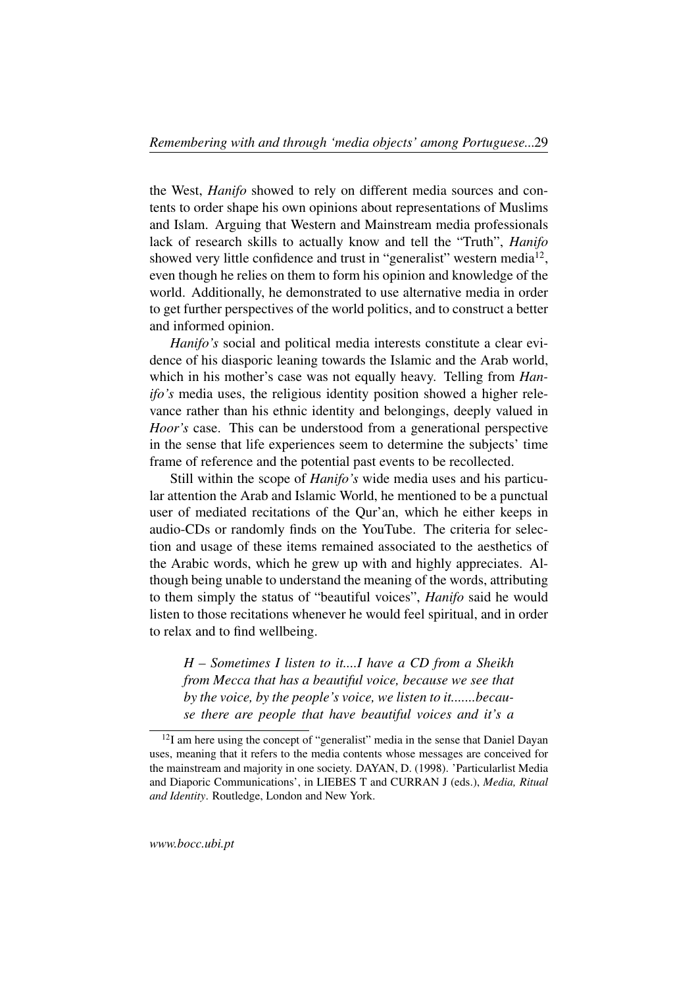the West, *Hanifo* showed to rely on different media sources and contents to order shape his own opinions about representations of Muslims and Islam. Arguing that Western and Mainstream media professionals lack of research skills to actually know and tell the "Truth", *Hanifo* showed very little confidence and trust in "generalist" western media $^{12}$  $^{12}$  $^{12}$ , even though he relies on them to form his opinion and knowledge of the world. Additionally, he demonstrated to use alternative media in order to get further perspectives of the world politics, and to construct a better and informed opinion.

*Hanifo's* social and political media interests constitute a clear evidence of his diasporic leaning towards the Islamic and the Arab world, which in his mother's case was not equally heavy. Telling from *Hanifo's* media uses, the religious identity position showed a higher relevance rather than his ethnic identity and belongings, deeply valued in *Hoor's* case. This can be understood from a generational perspective in the sense that life experiences seem to determine the subjects' time frame of reference and the potential past events to be recollected.

Still within the scope of *Hanifo's* wide media uses and his particular attention the Arab and Islamic World, he mentioned to be a punctual user of mediated recitations of the Qur'an, which he either keeps in audio-CDs or randomly finds on the YouTube. The criteria for selection and usage of these items remained associated to the aesthetics of the Arabic words, which he grew up with and highly appreciates. Although being unable to understand the meaning of the words, attributing to them simply the status of "beautiful voices", *Hanifo* said he would listen to those recitations whenever he would feel spiritual, and in order to relax and to find wellbeing.

*H – Sometimes I listen to it....I have a CD from a Sheikh from Mecca that has a beautiful voice, because we see that by the voice, by the people's voice, we listen to it.......because there are people that have beautiful voices and it's a*

<span id="page-28-0"></span> $12$ I am here using the concept of "generalist" media in the sense that Daniel Dayan uses, meaning that it refers to the media contents whose messages are conceived for the mainstream and majority in one society. DAYAN, D. (1998). 'Particularlist Media and Diaporic Communications', in LIEBES T and CURRAN J (eds.), *Media, Ritual and Identity*. Routledge, London and New York.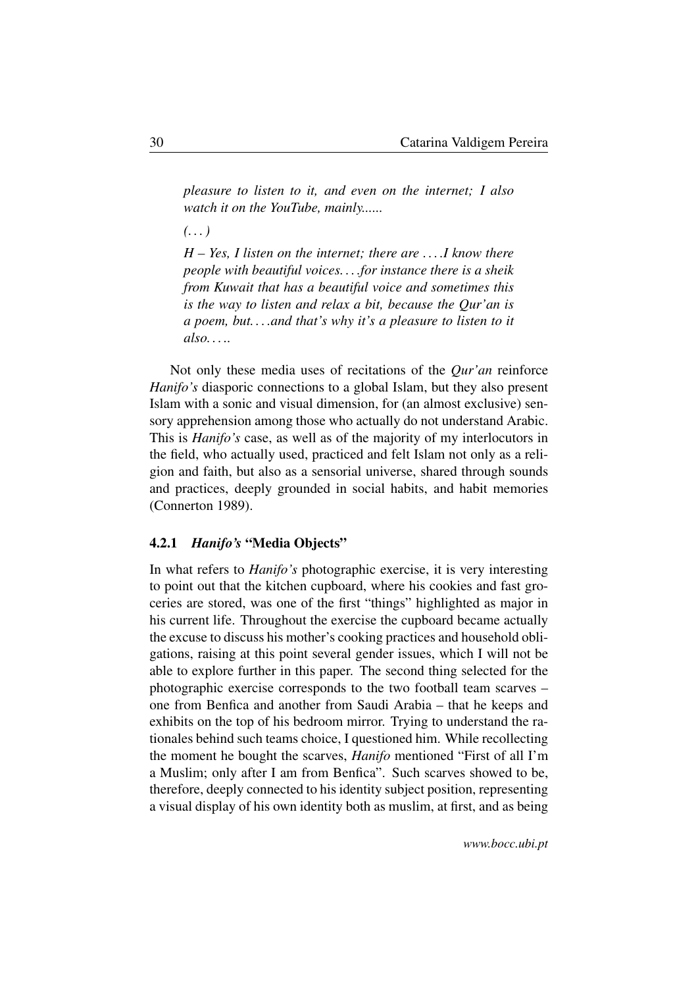*pleasure to listen to it, and even on the internet; I also watch it on the YouTube, mainly......*

*(. . . )*

*H – Yes, I listen on the internet; there are . . . .I know there people with beautiful voices. . . .for instance there is a sheik from Kuwait that has a beautiful voice and sometimes this is the way to listen and relax a bit, because the Qur'an is a poem, but. . . .and that's why it's a pleasure to listen to it also. . . ..*

Not only these media uses of recitations of the *Qur'an* reinforce *Hanifo's* diasporic connections to a global Islam, but they also present Islam with a sonic and visual dimension, for (an almost exclusive) sensory apprehension among those who actually do not understand Arabic. This is *Hanifo's* case, as well as of the majority of my interlocutors in the field, who actually used, practiced and felt Islam not only as a religion and faith, but also as a sensorial universe, shared through sounds and practices, deeply grounded in social habits, and habit memories (Connerton 1989).

#### <span id="page-29-0"></span>4.2.1 *Hanifo's* "Media Objects"

In what refers to *Hanifo's* photographic exercise, it is very interesting to point out that the kitchen cupboard, where his cookies and fast groceries are stored, was one of the first "things" highlighted as major in his current life. Throughout the exercise the cupboard became actually the excuse to discuss his mother's cooking practices and household obligations, raising at this point several gender issues, which I will not be able to explore further in this paper. The second thing selected for the photographic exercise corresponds to the two football team scarves – one from Benfica and another from Saudi Arabia – that he keeps and exhibits on the top of his bedroom mirror. Trying to understand the rationales behind such teams choice, I questioned him. While recollecting the moment he bought the scarves, *Hanifo* mentioned "First of all I'm a Muslim; only after I am from Benfica". Such scarves showed to be, therefore, deeply connected to his identity subject position, representing a visual display of his own identity both as muslim, at first, and as being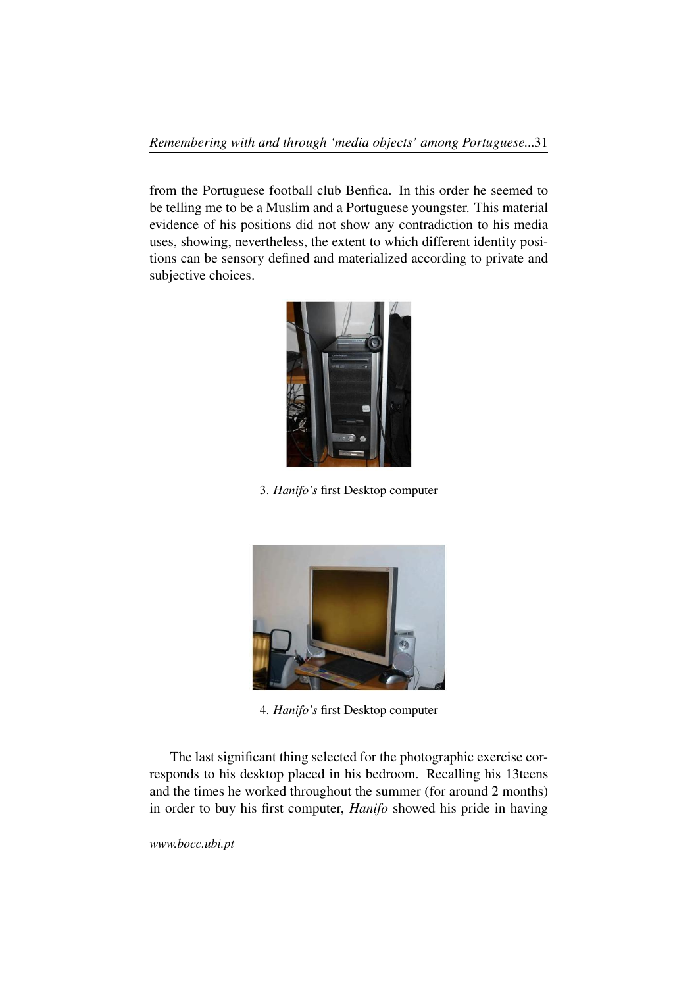from the Portuguese football club Benfica. In this order he seemed to be telling me to be a Muslim and a Portuguese youngster. This material evidence of his positions did not show any contradiction to his media uses, showing, nevertheless, the extent to which different identity positions can be sensory defined and materialized according to private and subjective choices.



3. *Hanifo's* first Desktop computer



4. *Hanifo's* first Desktop computer

The last significant thing selected for the photographic exercise corresponds to his desktop placed in his bedroom. Recalling his 13teens and the times he worked throughout the summer (for around 2 months) in order to buy his first computer, *Hanifo* showed his pride in having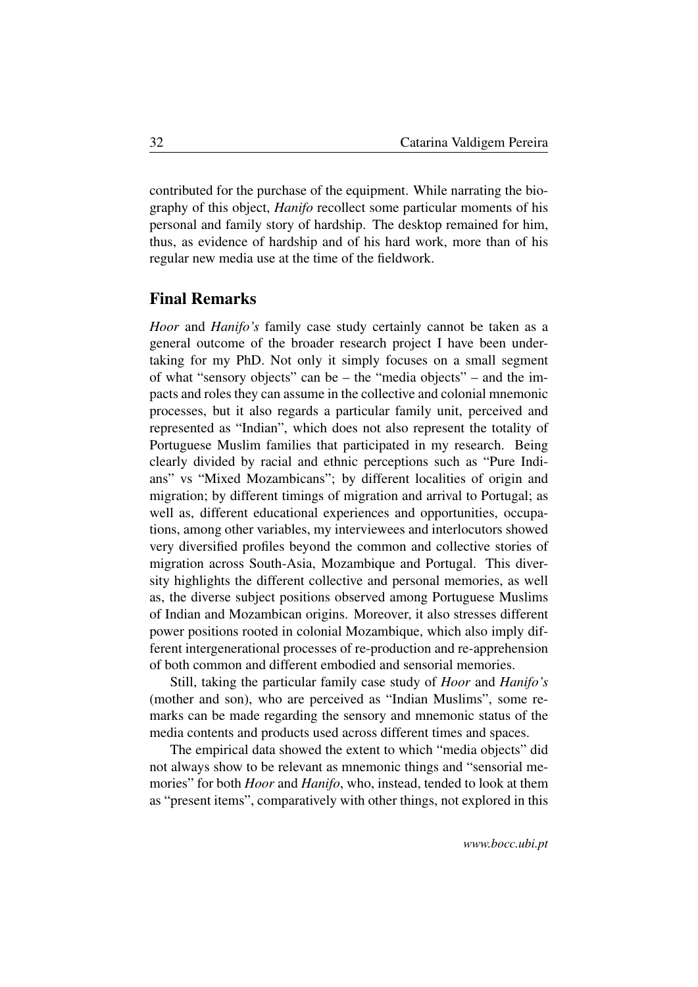contributed for the purchase of the equipment. While narrating the biography of this object, *Hanifo* recollect some particular moments of his personal and family story of hardship. The desktop remained for him, thus, as evidence of hardship and of his hard work, more than of his regular new media use at the time of the fieldwork.

#### Final Remarks

<span id="page-31-0"></span>*Hoor* and *Hanifo's* family case study certainly cannot be taken as a general outcome of the broader research project I have been undertaking for my PhD. Not only it simply focuses on a small segment of what "sensory objects" can be – the "media objects" – and the impacts and roles they can assume in the collective and colonial mnemonic processes, but it also regards a particular family unit, perceived and represented as "Indian", which does not also represent the totality of Portuguese Muslim families that participated in my research. Being clearly divided by racial and ethnic perceptions such as "Pure Indians" vs "Mixed Mozambicans"; by different localities of origin and migration; by different timings of migration and arrival to Portugal; as well as, different educational experiences and opportunities, occupations, among other variables, my interviewees and interlocutors showed very diversified profiles beyond the common and collective stories of migration across South-Asia, Mozambique and Portugal. This diversity highlights the different collective and personal memories, as well as, the diverse subject positions observed among Portuguese Muslims of Indian and Mozambican origins. Moreover, it also stresses different power positions rooted in colonial Mozambique, which also imply different intergenerational processes of re-production and re-apprehension of both common and different embodied and sensorial memories.

Still, taking the particular family case study of *Hoor* and *Hanifo's* (mother and son), who are perceived as "Indian Muslims", some remarks can be made regarding the sensory and mnemonic status of the media contents and products used across different times and spaces.

The empirical data showed the extent to which "media objects" did not always show to be relevant as mnemonic things and "sensorial memories" for both *Hoor* and *Hanifo*, who, instead, tended to look at them as "present items", comparatively with other things, not explored in this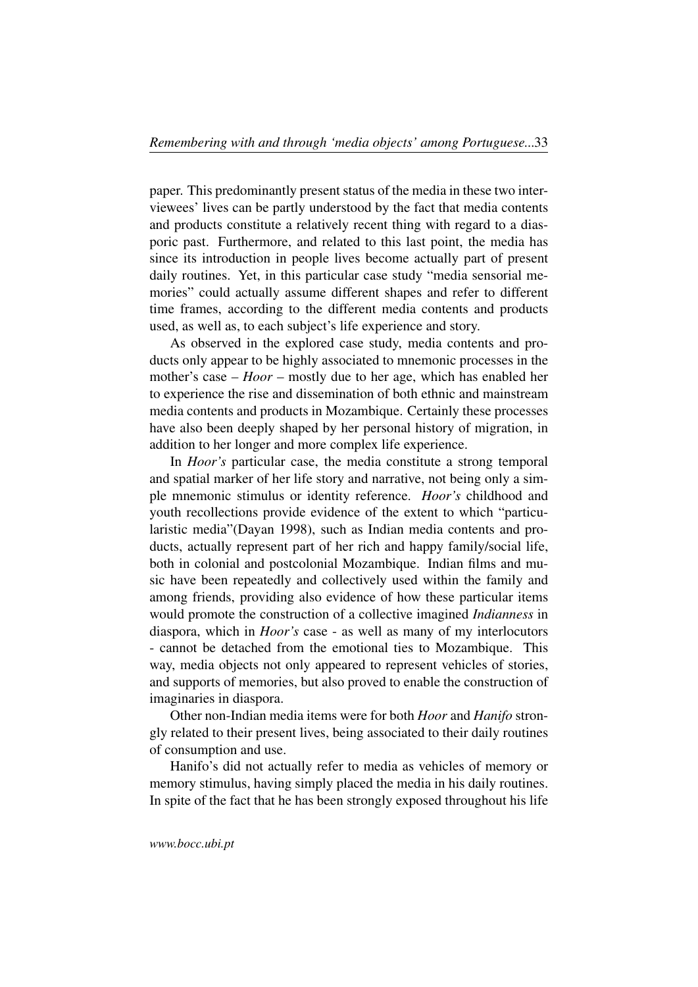paper. This predominantly present status of the media in these two interviewees' lives can be partly understood by the fact that media contents and products constitute a relatively recent thing with regard to a diasporic past. Furthermore, and related to this last point, the media has since its introduction in people lives become actually part of present daily routines. Yet, in this particular case study "media sensorial memories" could actually assume different shapes and refer to different time frames, according to the different media contents and products used, as well as, to each subject's life experience and story.

As observed in the explored case study, media contents and products only appear to be highly associated to mnemonic processes in the mother's case – *Hoor* – mostly due to her age, which has enabled her to experience the rise and dissemination of both ethnic and mainstream media contents and products in Mozambique. Certainly these processes have also been deeply shaped by her personal history of migration, in addition to her longer and more complex life experience.

In *Hoor's* particular case, the media constitute a strong temporal and spatial marker of her life story and narrative, not being only a simple mnemonic stimulus or identity reference. *Hoor's* childhood and youth recollections provide evidence of the extent to which "particularistic media"(Dayan 1998), such as Indian media contents and products, actually represent part of her rich and happy family/social life, both in colonial and postcolonial Mozambique. Indian films and music have been repeatedly and collectively used within the family and among friends, providing also evidence of how these particular items would promote the construction of a collective imagined *Indianness* in diaspora, which in *Hoor's* case - as well as many of my interlocutors - cannot be detached from the emotional ties to Mozambique. This way, media objects not only appeared to represent vehicles of stories, and supports of memories, but also proved to enable the construction of imaginaries in diaspora.

Other non-Indian media items were for both *Hoor* and *Hanifo* strongly related to their present lives, being associated to their daily routines of consumption and use.

Hanifo's did not actually refer to media as vehicles of memory or memory stimulus, having simply placed the media in his daily routines. In spite of the fact that he has been strongly exposed throughout his life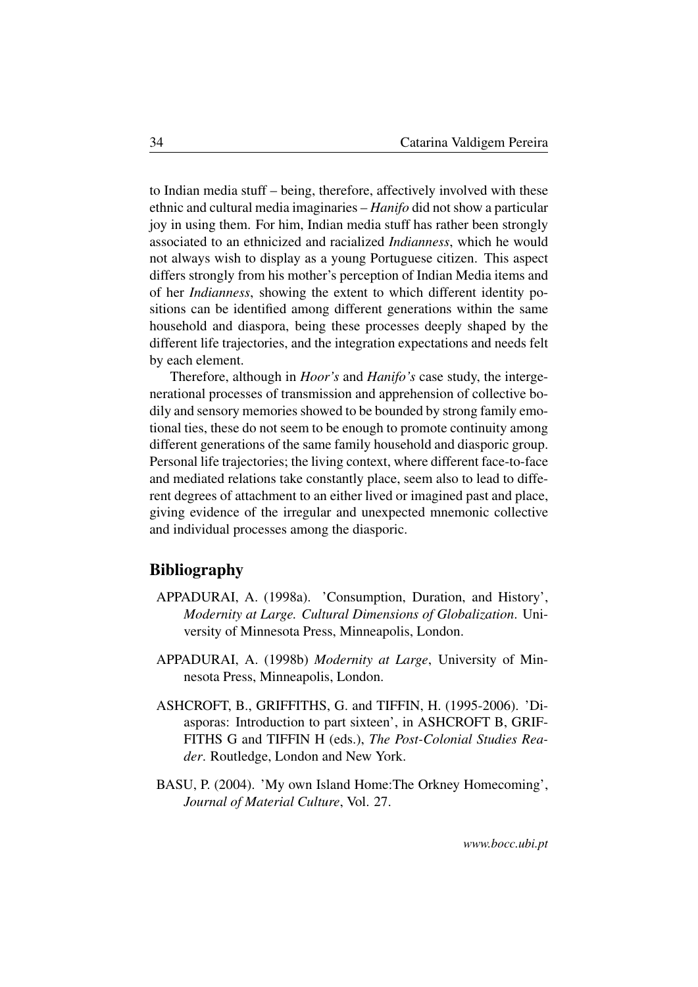to Indian media stuff – being, therefore, affectively involved with these ethnic and cultural media imaginaries – *Hanifo* did not show a particular joy in using them. For him, Indian media stuff has rather been strongly associated to an ethnicized and racialized *Indianness*, which he would not always wish to display as a young Portuguese citizen. This aspect differs strongly from his mother's perception of Indian Media items and of her *Indianness*, showing the extent to which different identity positions can be identified among different generations within the same household and diaspora, being these processes deeply shaped by the different life trajectories, and the integration expectations and needs felt by each element.

Therefore, although in *Hoor's* and *Hanifo's* case study, the intergenerational processes of transmission and apprehension of collective bodily and sensory memories showed to be bounded by strong family emotional ties, these do not seem to be enough to promote continuity among different generations of the same family household and diasporic group. Personal life trajectories; the living context, where different face-to-face and mediated relations take constantly place, seem also to lead to different degrees of attachment to an either lived or imagined past and place, giving evidence of the irregular and unexpected mnemonic collective and individual processes among the diasporic.

## Bibliography

- <span id="page-33-0"></span>APPADURAI, A. (1998a). 'Consumption, Duration, and History', *Modernity at Large. Cultural Dimensions of Globalization*. University of Minnesota Press, Minneapolis, London.
- APPADURAI, A. (1998b) *Modernity at Large*, University of Minnesota Press, Minneapolis, London.
- ASHCROFT, B., GRIFFITHS, G. and TIFFIN, H. (1995-2006). 'Diasporas: Introduction to part sixteen', in ASHCROFT B, GRIF-FITHS G and TIFFIN H (eds.), *The Post-Colonial Studies Reader*. Routledge, London and New York.
- BASU, P. (2004). 'My own Island Home:The Orkney Homecoming', *Journal of Material Culture*, Vol. 27.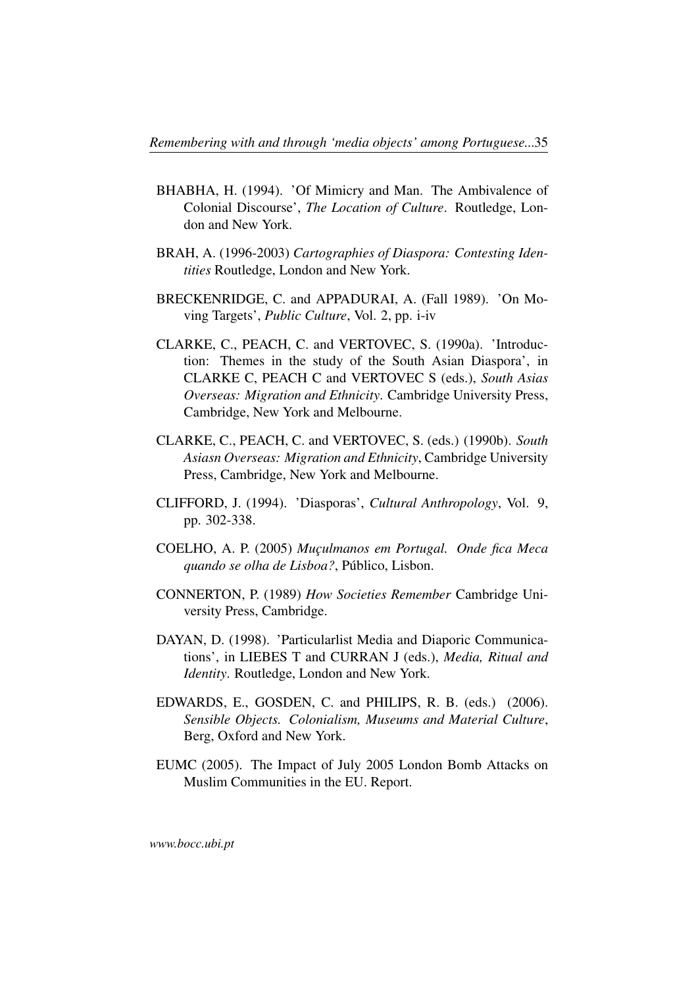- BHABHA, H. (1994). 'Of Mimicry and Man. The Ambivalence of Colonial Discourse', *The Location of Culture*. Routledge, London and New York.
- BRAH, A. (1996-2003) *Cartographies of Diaspora: Contesting Identities* Routledge, London and New York.
- BRECKENRIDGE, C. and APPADURAI, A. (Fall 1989). 'On Moving Targets', *Public Culture*, Vol. 2, pp. i-iv
- CLARKE, C., PEACH, C. and VERTOVEC, S. (1990a). 'Introduction: Themes in the study of the South Asian Diaspora', in CLARKE C, PEACH C and VERTOVEC S (eds.), *South Asias Overseas: Migration and Ethnicity*. Cambridge University Press, Cambridge, New York and Melbourne.
- CLARKE, C., PEACH, C. and VERTOVEC, S. (eds.) (1990b). *South Asiasn Overseas: Migration and Ethnicity*, Cambridge University Press, Cambridge, New York and Melbourne.
- CLIFFORD, J. (1994). 'Diasporas', *Cultural Anthropology*, Vol. 9, pp. 302-338.
- COELHO, A. P. (2005) *Muçulmanos em Portugal. Onde fica Meca quando se olha de Lisboa?*, Público, Lisbon.
- CONNERTON, P. (1989) *How Societies Remember* Cambridge University Press, Cambridge.
- DAYAN, D. (1998). 'Particularlist Media and Diaporic Communications', in LIEBES T and CURRAN J (eds.), *Media, Ritual and Identity*. Routledge, London and New York.
- EDWARDS, E., GOSDEN, C. and PHILIPS, R. B. (eds.) (2006). *Sensible Objects. Colonialism, Museums and Material Culture*, Berg, Oxford and New York.
- EUMC (2005). The Impact of July 2005 London Bomb Attacks on Muslim Communities in the EU. Report.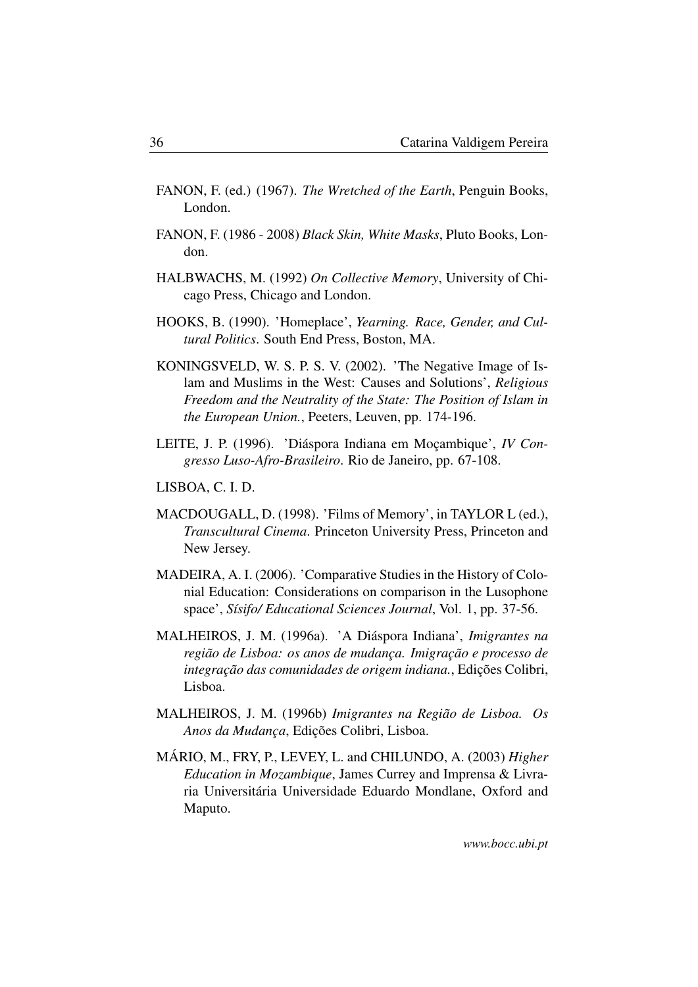- FANON, F. (ed.) (1967). *The Wretched of the Earth*, Penguin Books, London.
- FANON, F. (1986 2008) *Black Skin, White Masks*, Pluto Books, London.
- HALBWACHS, M. (1992) *On Collective Memory*, University of Chicago Press, Chicago and London.
- HOOKS, B. (1990). 'Homeplace', *Yearning. Race, Gender, and Cultural Politics*. South End Press, Boston, MA.
- KONINGSVELD, W. S. P. S. V. (2002). 'The Negative Image of Islam and Muslims in the West: Causes and Solutions', *Religious Freedom and the Neutrality of the State: The Position of Islam in the European Union.*, Peeters, Leuven, pp. 174-196.
- LEITE, J. P. (1996). 'Diáspora Indiana em Moçambique', *IV Congresso Luso-Afro-Brasileiro*. Rio de Janeiro, pp. 67-108.
- LISBOA, C. I. D.
- MACDOUGALL, D. (1998). 'Films of Memory', in TAYLOR L (ed.), *Transcultural Cinema*. Princeton University Press, Princeton and New Jersey.
- MADEIRA, A. I. (2006). 'Comparative Studies in the History of Colonial Education: Considerations on comparison in the Lusophone space', *Sísifo/ Educational Sciences Journal*, Vol. 1, pp. 37-56.
- MALHEIROS, J. M. (1996a). 'A Diáspora Indiana', *Imigrantes na região de Lisboa: os anos de mudança. Imigração e processo de integração das comunidades de origem indiana.*, Edições Colibri, Lisboa.
- MALHEIROS, J. M. (1996b) *Imigrantes na Região de Lisboa. Os Anos da Mudança*, Edições Colibri, Lisboa.
- MÁRIO, M., FRY, P., LEVEY, L. and CHILUNDO, A. (2003) *Higher Education in Mozambique*, James Currey and Imprensa & Livraria Universitária Universidade Eduardo Mondlane, Oxford and Maputo.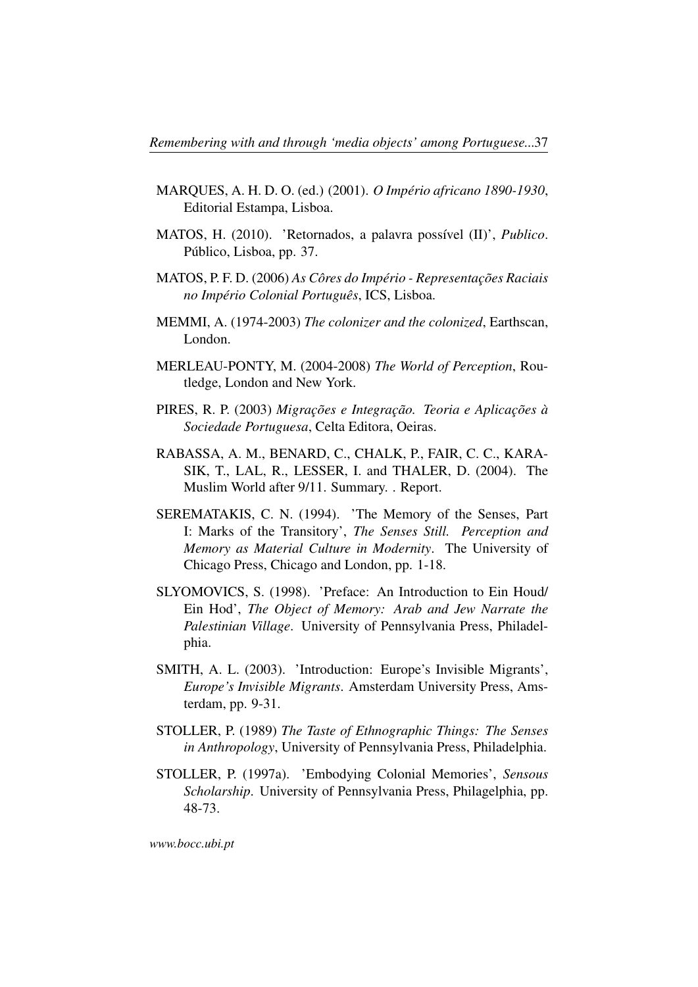- MARQUES, A. H. D. O. (ed.) (2001). *O Império africano 1890-1930*, Editorial Estampa, Lisboa.
- MATOS, H. (2010). 'Retornados, a palavra possível (II)', *Publico*. Público, Lisboa, pp. 37.
- MATOS, P. F. D. (2006) *As Côres do Império Representações Raciais no Império Colonial Português*, ICS, Lisboa.
- MEMMI, A. (1974-2003) *The colonizer and the colonized*, Earthscan, London.
- MERLEAU-PONTY, M. (2004-2008) *The World of Perception*, Routledge, London and New York.
- PIRES, R. P. (2003) *Migrações e Integração. Teoria e Aplicações à Sociedade Portuguesa*, Celta Editora, Oeiras.
- RABASSA, A. M., BENARD, C., CHALK, P., FAIR, C. C., KARA-SIK, T., LAL, R., LESSER, I. and THALER, D. (2004). The Muslim World after 9/11. Summary. . Report.
- SEREMATAKIS, C. N. (1994). 'The Memory of the Senses, Part I: Marks of the Transitory', *The Senses Still. Perception and Memory as Material Culture in Modernity*. The University of Chicago Press, Chicago and London, pp. 1-18.
- SLYOMOVICS, S. (1998). 'Preface: An Introduction to Ein Houd/ Ein Hod', *The Object of Memory: Arab and Jew Narrate the Palestinian Village*. University of Pennsylvania Press, Philadelphia.
- SMITH, A. L. (2003). 'Introduction: Europe's Invisible Migrants', *Europe's Invisible Migrants*. Amsterdam University Press, Amsterdam, pp. 9-31.
- STOLLER, P. (1989) *The Taste of Ethnographic Things: The Senses in Anthropology*, University of Pennsylvania Press, Philadelphia.
- STOLLER, P. (1997a). 'Embodying Colonial Memories', *Sensous Scholarship*. University of Pennsylvania Press, Philagelphia, pp. 48-73.